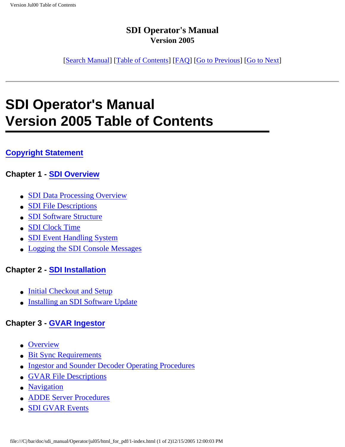[[Search Manual\]](file:///C|/bar/doc/sdi_manual/Operator/jul05/index.html) [\[Table of Contents\]](file:///C|/bar/doc/sdi_manual/Operator/jul05/html_for_pdf/index.html) [[FAQ\]](file:///C|/bar/doc/sdi_manual/Operator/jul05/html_for_pdf/appendixB.html) [[Go to Previous](file:///C|/bar/doc/sdi_manual/Operator/jul05/index.html)] [[Go to Next](file:///C|/bar/doc/sdi_manual/Operator/jul05/html_for_pdf/copyright.html)]

# **SDI Operator's Manual Version 2005 Table of Contents**

#### **[Copyright Statement](file:///C|/bar/doc/sdi_manual/Operator/jul05/html_for_pdf/copyright.html#13478)**

#### **Chapter 1 - [SDI Overview](file:///C|/bar/doc/sdi_manual/Operator/jul05/html_for_pdf/overview-1.html#31467)**

- [SDI Data Processing Overview](file:///C|/bar/doc/sdi_manual/Operator/jul05/html_for_pdf/overview-2.html#25640)
- [SDI File Descriptions](file:///C|/bar/doc/sdi_manual/Operator/jul05/html_for_pdf/overview-3.html#17998)
- [SDI Software Structure](file:///C|/bar/doc/sdi_manual/Operator/jul05/html_for_pdf/overview-8.html#23920)
- [SDI Clock Time](file:///C|/bar/doc/sdi_manual/Operator/jul05/html_for_pdf/overview-11.html#68729)
- [SDI Event Handling System](file:///C|/bar/doc/sdi_manual/Operator/jul05/html_for_pdf/overview-12.html#40650)
- [Logging the SDI Console Messages](file:///C|/bar/doc/sdi_manual/Operator/jul05/html_for_pdf/overview-15.html#25434)

#### **Chapter 2 - [SDI Installation](file:///C|/bar/doc/sdi_manual/Operator/jul05/html_for_pdf/install-1.html#34212)**

- [Initial Checkout and Setup](file:///C|/bar/doc/sdi_manual/Operator/jul05/html_for_pdf/install-2.html#96081)
- [Installing an SDI Software Update](file:///C|/bar/doc/sdi_manual/Operator/jul05/html_for_pdf/install-9.html#16800)

#### **Chapter 3 - [GVAR Ingestor](file:///C|/bar/doc/sdi_manual/Operator/jul05/html_for_pdf/gvar-1.html#36897)**

- [Overview](file:///C|/bar/doc/sdi_manual/Operator/jul05/html_for_pdf/gvar-3.html#62525)
- [Bit Sync Requirements](file:///C|/bar/doc/sdi_manual/Operator/jul05/html_for_pdf/gvar-4.html#35288)
- [Ingestor and Sounder Decoder Operating Procedures](file:///C|/bar/doc/sdi_manual/Operator/jul05/html_for_pdf/gvar-5.html#36547)
- [GVAR File Descriptions](file:///C|/bar/doc/sdi_manual/Operator/jul05/html_for_pdf/gvar-14.html#19456)
- [Navigation](file:///C|/bar/doc/sdi_manual/Operator/jul05/html_for_pdf/gvar-19.html#21367)
- [ADDE Server Procedures](file:///C|/bar/doc/sdi_manual/Operator/jul05/html_for_pdf/gvar-21.html#10991)
- [SDI GVAR Events](file:///C|/bar/doc/sdi_manual/Operator/jul05/html_for_pdf/gvar-26.html#16654)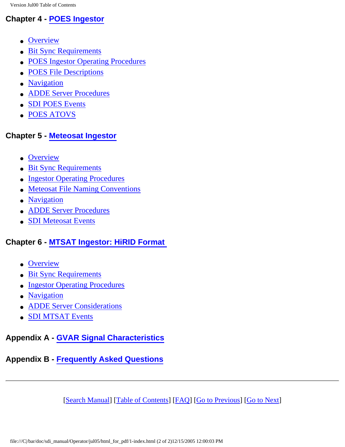### **Chapter 4 - [POES Ingestor](file:///C|/bar/doc/sdi_manual/Operator/jul05/html_for_pdf/poes-1.html#18935)**

- [Overview](file:///C|/bar/doc/sdi_manual/Operator/jul05/html_for_pdf/poes-3.html#74120)
- [Bit Sync Requirements](file:///C|/bar/doc/sdi_manual/Operator/jul05/html_for_pdf/poes-4.html#35288)
- [POES Ingestor Operating Procedures](file:///C|/bar/doc/sdi_manual/Operator/jul05/html_for_pdf/poes-5.html#41449)
- [POES File Descriptions](file:///C|/bar/doc/sdi_manual/Operator/jul05/html_for_pdf/poes-11.html#26929)
- [Navigation](file:///C|/bar/doc/sdi_manual/Operator/jul05/html_for_pdf/poes-14.html#35529)
- [ADDE Server Procedures](file:///C|/bar/doc/sdi_manual/Operator/jul05/html_for_pdf/poes-15.html#28537)
- [SDI POES Events](file:///C|/bar/doc/sdi_manual/Operator/jul05/html_for_pdf/poes-18.html#25147)
- [POES ATOVS](file:///C|/bar/doc/sdi_manual/Operator/jul05/html_for_pdf/poes-19.html#73342)

### **Chapter 5 - [Meteosat Ingestor](file:///C|/bar/doc/sdi_manual/Operator/jul05/html_for_pdf/meteosat-1.html#34999)**

- [Overview](file:///C|/bar/doc/sdi_manual/Operator/jul05/html_for_pdf/meteosat-3.html#11244)
- [Bit Sync Requirements](file:///C|/bar/doc/sdi_manual/Operator/jul05/html_for_pdf/meteosat-4.html#21755)
- [Ingestor Operating Procedures](file:///C|/bar/doc/sdi_manual/Operator/jul05/html_for_pdf/meteosat-5.html#39590)
- [Meteosat File Naming Conventions](file:///C|/bar/doc/sdi_manual/Operator/jul05/html_for_pdf/meteosat-11.html#12478)
- [Navigation](file:///C|/bar/doc/sdi_manual/Operator/jul05/html_for_pdf/meteosat-12.html#35583)
- [ADDE Server Procedures](file:///C|/bar/doc/sdi_manual/Operator/jul05/html_for_pdf/meteosat-13.html#17439)
- [SDI Meteosat Events](file:///C|/bar/doc/sdi_manual/Operator/jul05/html_for_pdf/meteosat-17.html#30171)

### **Chapter 6 - [MTSAT Ingestor: HiRID Format](file:///C|/bar/doc/sdi_manual/Operator/jul05/html_for_pdf/mtsat-1.html#27562)**

- [Overview](file:///C|/bar/doc/sdi_manual/Operator/jul05/html_for_pdf/mtsat-3.html#21222)
- [Bit Sync Requirements](file:///C|/bar/doc/sdi_manual/Operator/jul05/html_for_pdf/mtsat-4.html#20692)
- [Ingestor Operating Procedures](file:///C|/bar/doc/sdi_manual/Operator/jul05/html_for_pdf/mtsat-5.html#33172)
- [Navigation](file:///C|/bar/doc/sdi_manual/Operator/jul05/html_for_pdf/mtsat-11.html#29855)
- [ADDE Server Considerations](file:///C|/bar/doc/sdi_manual/Operator/jul05/html_for_pdf/mtsat-12.html#23246)
- [SDI MTSAT Events](file:///C|/bar/doc/sdi_manual/Operator/jul05/html_for_pdf/mtsat-13.html#23202)

### **Appendix A - [GVAR Signal Characteristics](file:///C|/bar/doc/sdi_manual/Operator/jul05/html_for_pdf/appendixA-1.html#24283)**

### **Appendix B - [Frequently Asked Questions](file:///C|/bar/doc/sdi_manual/Operator/jul05/html_for_pdf/appendixB.html#26939)**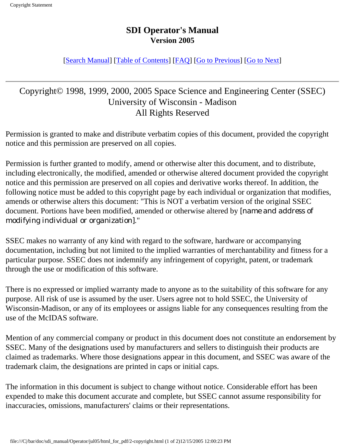#### [[Search Manual\]](file:///C|/bar/doc/sdi_manual/Operator/jul05/index.html) [\[Table of Contents\]](file:///C|/bar/doc/sdi_manual/Operator/jul05/html_for_pdf/index.html) [[FAQ\]](file:///C|/bar/doc/sdi_manual/Operator/jul05/html_for_pdf/appendixB.html) [[Go to Previous](file:///C|/bar/doc/sdi_manual/Operator/jul05/html_for_pdf/index.html)] [[Go to Next](file:///C|/bar/doc/sdi_manual/Operator/jul05/html_for_pdf/overview-1.html)]

### Copyright© 1998, 1999, 2000, 2005 Space Science and Engineering Center (SSEC) University of Wisconsin - Madison All Rights Reserved

Permission is granted to make and distribute verbatim copies of this document, provided the copyright notice and this permission are preserved on all copies.

Permission is further granted to modify, amend or otherwise alter this document, and to distribute, including electronically, the modified, amended or otherwise altered document provided the copyright notice and this permission are preserved on all copies and derivative works thereof. In addition, the following notice must be added to this copyright page by each individual or organization that modifies, amends or otherwise alters this document: "This is NOT a verbatim version of the original SSEC document. Portions have been modified, amended or otherwise altered by *[name and address of modifying individual or organization]*."

SSEC makes no warranty of any kind with regard to the software, hardware or accompanying documentation, including but not limited to the implied warranties of merchantability and fitness for a particular purpose. SSEC does not indemnify any infringement of copyright, patent, or trademark through the use or modification of this software.

There is no expressed or implied warranty made to anyone as to the suitability of this software for any purpose. All risk of use is assumed by the user. Users agree not to hold SSEC, the University of Wisconsin-Madison, or any of its employees or assigns liable for any consequences resulting from the use of the McIDAS software.

Mention of any commercial company or product in this document does not constitute an endorsement by SSEC. Many of the designations used by manufacturers and sellers to distinguish their products are claimed as trademarks. Where those designations appear in this document, and SSEC was aware of the trademark claim, the designations are printed in caps or initial caps.

The information in this document is subject to change without notice. Considerable effort has been expended to make this document accurate and complete, but SSEC cannot assume responsibility for inaccuracies, omissions, manufacturers' claims or their representations.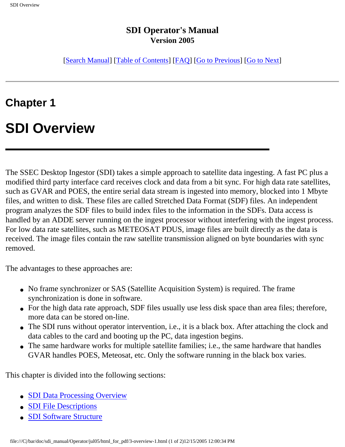[[Search Manual\]](file:///C|/bar/doc/sdi_manual/Operator/jul05/index.html) [\[Table of Contents\]](file:///C|/bar/doc/sdi_manual/Operator/jul05/html_for_pdf/index.html) [[FAQ\]](file:///C|/bar/doc/sdi_manual/Operator/jul05/html_for_pdf/appendixB.html) [[Go to Previous](file:///C|/bar/doc/sdi_manual/Operator/jul05/html_for_pdf/copyright.html)] [[Go to Next](file:///C|/bar/doc/sdi_manual/Operator/jul05/html_for_pdf/overview-2.html)]

### **Chapter 1**

### **SDI Overview**

The SSEC Desktop Ingestor (SDI) takes a simple approach to satellite data ingesting. A fast PC plus a modified third party interface card receives clock and data from a bit sync. For high data rate satellites, such as GVAR and POES, the entire serial data stream is ingested into memory, blocked into 1 Mbyte files, and written to disk. These files are called Stretched Data Format (SDF) files. An independent program analyzes the SDF files to build index files to the information in the SDFs. Data access is handled by an ADDE server running on the ingest processor without interfering with the ingest process. For low data rate satellites, such as METEOSAT PDUS, image files are built directly as the data is received. The image files contain the raw satellite transmission aligned on byte boundaries with sync removed.

The advantages to these approaches are:

- No frame synchronizer or SAS (Satellite Acquisition System) is required. The frame synchronization is done in software.
- For the high data rate approach, SDF files usually use less disk space than area files; therefore, more data can be stored on-line.
- The SDI runs without operator intervention, i.e., it is a black box. After attaching the clock and data cables to the card and booting up the PC, data ingestion begins.
- The same hardware works for multiple satellite families; i.e., the same hardware that handles GVAR handles POES, Meteosat, etc. Only the software running in the black box varies.

This chapter is divided into the following sections:

- [SDI Data Processing Overview](file:///C|/bar/doc/sdi_manual/Operator/jul05/html_for_pdf/overview-2.html#25640)
- [SDI File Descriptions](file:///C|/bar/doc/sdi_manual/Operator/jul05/html_for_pdf/overview-3.html#17998)
- [SDI Software Structure](file:///C|/bar/doc/sdi_manual/Operator/jul05/html_for_pdf/overview-8.html#23920)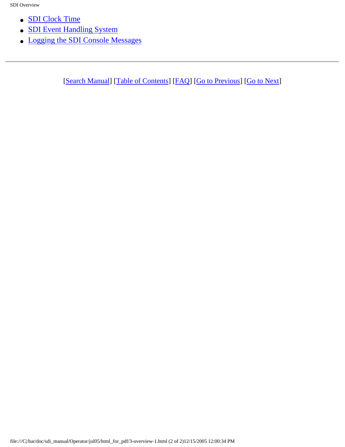- [SDI Clock Time](file:///C|/bar/doc/sdi_manual/Operator/jul05/html_for_pdf/overview-11.html#68729)
- **[SDI Event Handling System](file:///C|/bar/doc/sdi_manual/Operator/jul05/html_for_pdf/overview-12.html#40650)**
- [Logging the SDI Console Messages](file:///C|/bar/doc/sdi_manual/Operator/jul05/html_for_pdf/overview-15.html#25434)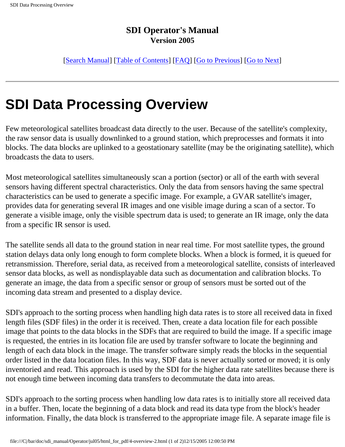[[Search Manual\]](file:///C|/bar/doc/sdi_manual/Operator/jul05/index.html) [\[Table of Contents\]](file:///C|/bar/doc/sdi_manual/Operator/jul05/html_for_pdf/index.html) [[FAQ\]](file:///C|/bar/doc/sdi_manual/Operator/jul05/html_for_pdf/appendixB.html) [[Go to Previous](file:///C|/bar/doc/sdi_manual/Operator/jul05/html_for_pdf/overview-1.html)] [[Go to Next](file:///C|/bar/doc/sdi_manual/Operator/jul05/html_for_pdf/overview-3.html)]

## **SDI Data Processing Overview**

Few meteorological satellites broadcast data directly to the user. Because of the satellite's complexity, the raw sensor data is usually downlinked to a ground station, which preprocesses and formats it into blocks. The data blocks are uplinked to a geostationary satellite (may be the originating satellite), which broadcasts the data to users.

Most meteorological satellites simultaneously scan a portion (sector) or all of the earth with several sensors having different spectral characteristics. Only the data from sensors having the same spectral characteristics can be used to generate a specific image. For example, a GVAR satellite's imager, provides data for generating several IR images and one visible image during a scan of a sector. To generate a visible image, only the visible spectrum data is used; to generate an IR image, only the data from a specific IR sensor is used.

The satellite sends all data to the ground station in near real time. For most satellite types, the ground station delays data only long enough to form complete blocks. When a block is formed, it is queued for retransmission. Therefore, serial data, as received from a meteorological satellite, consists of interleaved sensor data blocks, as well as nondisplayable data such as documentation and calibration blocks. To generate an image, the data from a specific sensor or group of sensors must be sorted out of the incoming data stream and presented to a display device.

SDI's approach to the sorting process when handling high data rates is to store all received data in fixed length files (SDF files) in the order it is received. Then, create a data location file for each possible image that points to the data blocks in the SDFs that are required to build the image. If a specific image is requested, the entries in its location file are used by transfer software to locate the beginning and length of each data block in the image. The transfer software simply reads the blocks in the sequential order listed in the data location files. In this way, SDF data is never actually sorted or moved; it is only inventoried and read. This approach is used by the SDI for the higher data rate satellites because there is not enough time between incoming data transfers to decommutate the data into areas.

SDI's approach to the sorting process when handling low data rates is to initially store all received data in a buffer. Then, locate the beginning of a data block and read its data type from the block's header information. Finally, the data block is transferred to the appropriate image file. A separate image file is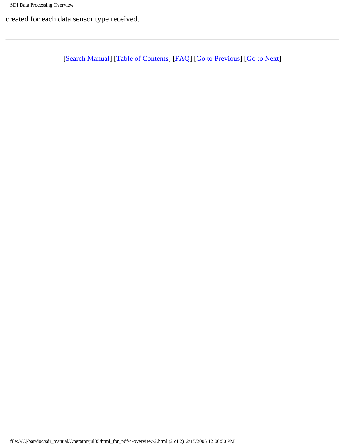created for each data sensor type received.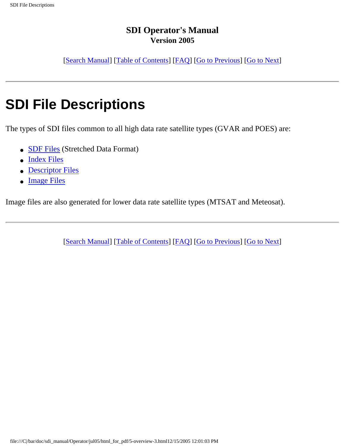[[Search Manual\]](file:///C|/bar/doc/sdi_manual/Operator/jul05/index.html) [\[Table of Contents\]](file:///C|/bar/doc/sdi_manual/Operator/jul05/html_for_pdf/index.html) [[FAQ\]](file:///C|/bar/doc/sdi_manual/Operator/jul05/html_for_pdf/appendixB.html) [[Go to Previous](file:///C|/bar/doc/sdi_manual/Operator/jul05/html_for_pdf/overview-2.html)] [[Go to Next](file:///C|/bar/doc/sdi_manual/Operator/jul05/html_for_pdf/overview-4.html)]

# **SDI File Descriptions**

The types of SDI files common to all high data rate satellite types (GVAR and POES) are:

- [SDF Files](file:///C|/bar/doc/sdi_manual/Operator/jul05/html_for_pdf/overview-4.html#20082) (Stretched Data Format)
- [Index Files](file:///C|/bar/doc/sdi_manual/Operator/jul05/html_for_pdf/overview-5.html#26676)
- [Descriptor Files](file:///C|/bar/doc/sdi_manual/Operator/jul05/html_for_pdf/overview-6.html#41083)
- [Image Files](file:///C|/bar/doc/sdi_manual/Operator/jul05/html_for_pdf/overview-7.html#42701)

Image files are also generated for lower data rate satellite types (MTSAT and Meteosat).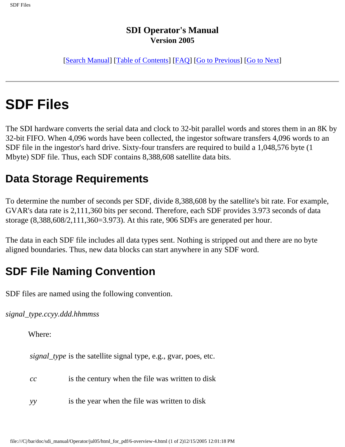[[Search Manual\]](file:///C|/bar/doc/sdi_manual/Operator/jul05/index.html) [\[Table of Contents\]](file:///C|/bar/doc/sdi_manual/Operator/jul05/html_for_pdf/index.html) [[FAQ\]](file:///C|/bar/doc/sdi_manual/Operator/jul05/html_for_pdf/appendixB.html) [[Go to Previous](file:///C|/bar/doc/sdi_manual/Operator/jul05/html_for_pdf/overview-3.html)] [[Go to Next](file:///C|/bar/doc/sdi_manual/Operator/jul05/html_for_pdf/overview-5.html)]

# **SDF Files**

The SDI hardware converts the serial data and clock to 32-bit parallel words and stores them in an 8K by 32-bit FIFO. When 4,096 words have been collected, the ingestor software transfers 4,096 words to an SDF file in the ingestor's hard drive. Sixty-four transfers are required to build a 1,048,576 byte (1 Mbyte) SDF file. Thus, each SDF contains 8,388,608 satellite data bits.

### **Data Storage Requirements**

To determine the number of seconds per SDF, divide 8,388,608 by the satellite's bit rate. For example, GVAR's data rate is 2,111,360 bits per second. Therefore, each SDF provides 3.973 seconds of data storage (8,388,608/2,111,360=3.973). At this rate, 906 SDFs are generated per hour.

The data in each SDF file includes all data types sent. Nothing is stripped out and there are no byte aligned boundaries. Thus, new data blocks can start anywhere in any SDF word.

### **SDF File Naming Convention**

SDF files are named using the following convention.

*signal\_type.ccyy.ddd.hhmmss*

Where:

*signal\_type* is the satellite signal type, e.g., gvar, poes, etc.

| cc | is the century when the file was written to disk |  |  |  |
|----|--------------------------------------------------|--|--|--|
|----|--------------------------------------------------|--|--|--|

*yy* is the year when the file was written to disk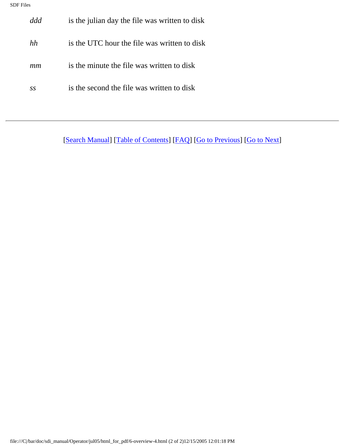| ddd | is the julian day the file was written to disk |
|-----|------------------------------------------------|
| hh  | is the UTC hour the file was written to disk   |
| mm  | is the minute the file was written to disk     |
| SS  | is the second the file was written to disk     |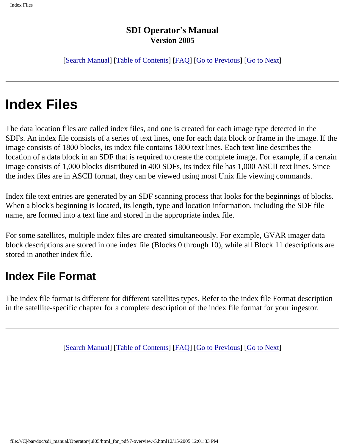[[Search Manual\]](file:///C|/bar/doc/sdi_manual/Operator/jul05/index.html) [\[Table of Contents\]](file:///C|/bar/doc/sdi_manual/Operator/jul05/html_for_pdf/index.html) [[FAQ\]](file:///C|/bar/doc/sdi_manual/Operator/jul05/html_for_pdf/appendixB.html) [[Go to Previous](file:///C|/bar/doc/sdi_manual/Operator/jul05/html_for_pdf/overview-4.html)] [[Go to Next](file:///C|/bar/doc/sdi_manual/Operator/jul05/html_for_pdf/overview-6.html)]

# **Index Files**

The data location files are called index files, and one is created for each image type detected in the SDFs. An index file consists of a series of text lines, one for each data block or frame in the image. If the image consists of 1800 blocks, its index file contains 1800 text lines. Each text line describes the location of a data block in an SDF that is required to create the complete image. For example, if a certain image consists of 1,000 blocks distributed in 400 SDFs, its index file has 1,000 ASCII text lines. Since the index files are in ASCII format, they can be viewed using most Unix file viewing commands.

Index file text entries are generated by an SDF scanning process that looks for the beginnings of blocks. When a block's beginning is located, its length, type and location information, including the SDF file name, are formed into a text line and stored in the appropriate index file.

For some satellites, multiple index files are created simultaneously. For example, GVAR imager data block descriptions are stored in one index file (Blocks 0 through 10), while all Block 11 descriptions are stored in another index file.

### **Index File Format**

The index file format is different for different satellites types. Refer to the index file Format description in the satellite-specific chapter for a complete description of the index file format for your ingestor.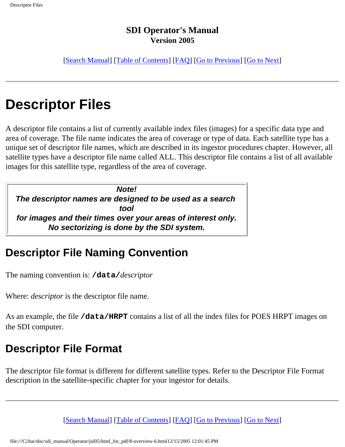[[Search Manual\]](file:///C|/bar/doc/sdi_manual/Operator/jul05/index.html) [\[Table of Contents\]](file:///C|/bar/doc/sdi_manual/Operator/jul05/html_for_pdf/index.html) [[FAQ\]](file:///C|/bar/doc/sdi_manual/Operator/jul05/html_for_pdf/appendixB.html) [[Go to Previous](file:///C|/bar/doc/sdi_manual/Operator/jul05/html_for_pdf/overview-5.html)] [[Go to Next](file:///C|/bar/doc/sdi_manual/Operator/jul05/html_for_pdf/overview-7.html)]

## **Descriptor Files**

A descriptor file contains a list of currently available index files (images) for a specific data type and area of coverage. The file name indicates the area of coverage or type of data. Each satellite type has a unique set of descriptor file names, which are described in its ingestor procedures chapter. However, all satellite types have a descriptor file name called ALL. This descriptor file contains a list of all available images for this satellite type, regardless of the area of coverage.

*Note! The descriptor names are designed to be used as a search tool for images and their times over your areas of interest only. No sectorizing is done by the SDI system.*

### **Descriptor File Naming Convention**

The naming convention is: **/data/***descriptor*

Where: *descriptor* is the descriptor file name.

As an example, the file **/data/HRPT** contains a list of all the index files for POES HRPT images on the SDI computer.

### **Descriptor File Format**

The descriptor file format is different for different satellite types. Refer to the Descriptor File Format description in the satellite-specific chapter for your ingestor for details.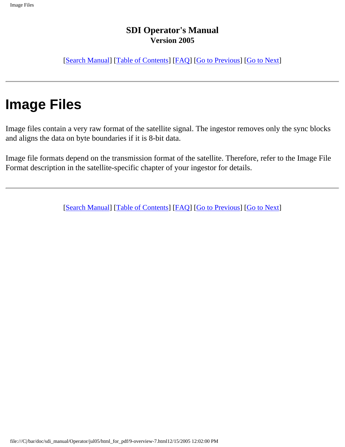[[Search Manual\]](file:///C|/bar/doc/sdi_manual/Operator/jul05/index.html) [\[Table of Contents\]](file:///C|/bar/doc/sdi_manual/Operator/jul05/html_for_pdf/index.html) [[FAQ\]](file:///C|/bar/doc/sdi_manual/Operator/jul05/html_for_pdf/appendixB.html) [[Go to Previous](file:///C|/bar/doc/sdi_manual/Operator/jul05/html_for_pdf/overview-6.html)] [[Go to Next](file:///C|/bar/doc/sdi_manual/Operator/jul05/html_for_pdf/overview-8.html)]

# **Image Files**

Image files contain a very raw format of the satellite signal. The ingestor removes only the sync blocks and aligns the data on byte boundaries if it is 8-bit data.

Image file formats depend on the transmission format of the satellite. Therefore, refer to the Image File Format description in the satellite-specific chapter of your ingestor for details.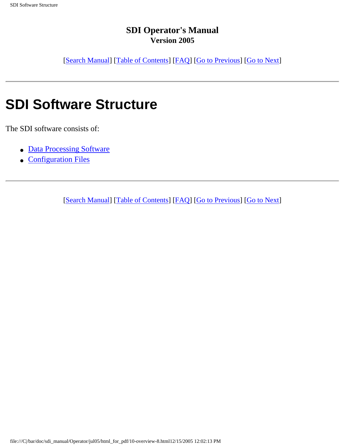[[Search Manual\]](file:///C|/bar/doc/sdi_manual/Operator/jul05/index.html) [\[Table of Contents\]](file:///C|/bar/doc/sdi_manual/Operator/jul05/html_for_pdf/index.html) [[FAQ\]](file:///C|/bar/doc/sdi_manual/Operator/jul05/html_for_pdf/appendixB.html) [[Go to Previous](file:///C|/bar/doc/sdi_manual/Operator/jul05/html_for_pdf/overview-7.html)] [[Go to Next](file:///C|/bar/doc/sdi_manual/Operator/jul05/html_for_pdf/overview-9.html)]

### **SDI Software Structure**

The SDI software consists of:

- [Data Processing Software](file:///C|/bar/doc/sdi_manual/Operator/jul05/html_for_pdf/overview-9.html)
- [Configuration Files](file:///C|/bar/doc/sdi_manual/Operator/jul05/html_for_pdf/overview-10.html)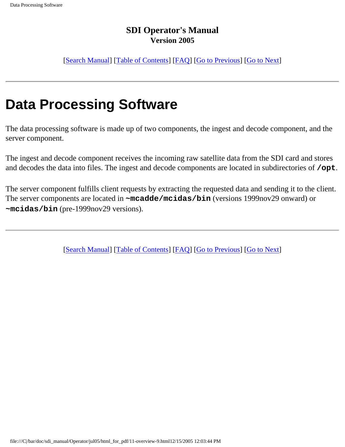[[Search Manual\]](file:///C|/bar/doc/sdi_manual/Operator/jul05/index.html) [\[Table of Contents\]](file:///C|/bar/doc/sdi_manual/Operator/jul05/html_for_pdf/index.html) [[FAQ\]](file:///C|/bar/doc/sdi_manual/Operator/jul05/html_for_pdf/appendixB.html) [[Go to Previous](file:///C|/bar/doc/sdi_manual/Operator/jul05/html_for_pdf/overview-8.html)] [[Go to Next](file:///C|/bar/doc/sdi_manual/Operator/jul05/html_for_pdf/overview-10.html)]

## **Data Processing Software**

The data processing software is made up of two components, the ingest and decode component, and the server component.

The ingest and decode component receives the incoming raw satellite data from the SDI card and stores and decodes the data into files. The ingest and decode components are located in subdirectories of **/opt**.

The server component fulfills client requests by extracting the requested data and sending it to the client. The server components are located in **~mcadde/mcidas/bin** (versions 1999nov29 onward) or **~mcidas/bin** (pre-1999nov29 versions).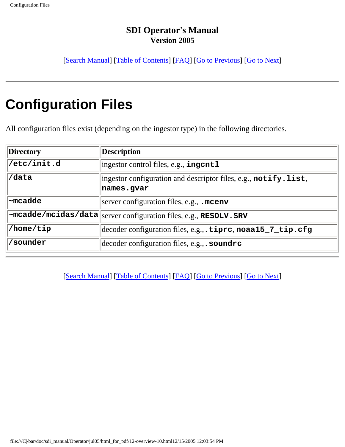[[Search Manual\]](file:///C|/bar/doc/sdi_manual/Operator/jul05/index.html) [\[Table of Contents\]](file:///C|/bar/doc/sdi_manual/Operator/jul05/html_for_pdf/index.html) [[FAQ\]](file:///C|/bar/doc/sdi_manual/Operator/jul05/html_for_pdf/appendixB.html) [[Go to Previous](file:///C|/bar/doc/sdi_manual/Operator/jul05/html_for_pdf/overview-9.html)] [[Go to Next](file:///C|/bar/doc/sdi_manual/Operator/jul05/html_for_pdf/overview-11.html)]

# **Configuration Files**

All configuration files exist (depending on the ingestor type) in the following directories.

| <b>Directory</b> | <b>Description</b>                                                                             |
|------------------|------------------------------------------------------------------------------------------------|
| /etc/init.d      | $ $ ingestor control files, e.g., ingentl                                                      |
| /data            | ingestor configuration and descriptor files, e.g., $\text{notify}.\text{list}$ ,<br>names.gvar |
|                  |                                                                                                |
| $\sim$ mcadde    | server configuration files, e.g., $\sqrt{m}$ cenv                                              |
|                  | $ \sim$ mcadde/mcidas/data $  $ server configuration files, e.g., RESOLV.SRV                   |
| /home/tip        | decoder configuration files, e.g., . tiprc, noaa15_7_tip.cfg                                   |
| 'sounder         | decoder configuration files, $e.g.,$ . soundre                                                 |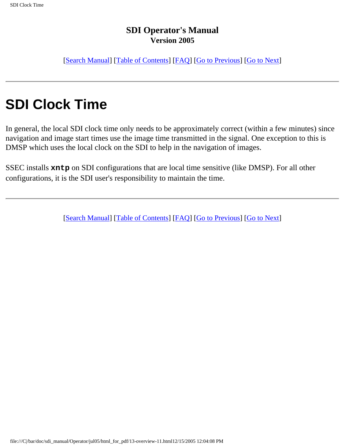[[Search Manual\]](file:///C|/bar/doc/sdi_manual/Operator/jul05/index.html) [\[Table of Contents\]](file:///C|/bar/doc/sdi_manual/Operator/jul05/html_for_pdf/index.html) [[FAQ\]](file:///C|/bar/doc/sdi_manual/Operator/jul05/html_for_pdf/appendixB.html) [[Go to Previous](file:///C|/bar/doc/sdi_manual/Operator/jul05/html_for_pdf/overview-10.html)] [[Go to Next](file:///C|/bar/doc/sdi_manual/Operator/jul05/html_for_pdf/overview-12.html)]

## **SDI Clock Time**

In general, the local SDI clock time only needs to be approximately correct (within a few minutes) since navigation and image start times use the image time transmitted in the signal. One exception to this is DMSP which uses the local clock on the SDI to help in the navigation of images.

SSEC installs **xntp** on SDI configurations that are local time sensitive (like DMSP). For all other configurations, it is the SDI user's responsibility to maintain the time.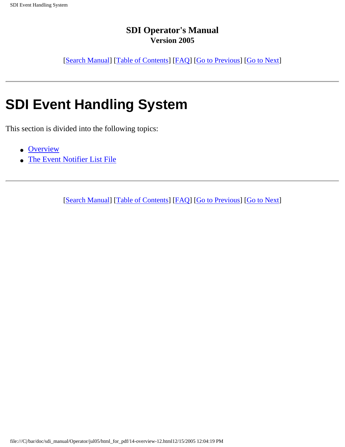[[Search Manual\]](file:///C|/bar/doc/sdi_manual/Operator/jul05/index.html) [\[Table of Contents\]](file:///C|/bar/doc/sdi_manual/Operator/jul05/html_for_pdf/index.html) [[FAQ\]](file:///C|/bar/doc/sdi_manual/Operator/jul05/html_for_pdf/appendixB.html) [[Go to Previous](file:///C|/bar/doc/sdi_manual/Operator/jul05/html_for_pdf/overview-11.html)] [[Go to Next](file:///C|/bar/doc/sdi_manual/Operator/jul05/html_for_pdf/overview-13.html)]

# **SDI Event Handling System**

This section is divided into the following topics:

- [Overview](file:///C|/bar/doc/sdi_manual/Operator/jul05/html_for_pdf/overview-13.html#40533)
- [The Event Notifier List File](file:///C|/bar/doc/sdi_manual/Operator/jul05/html_for_pdf/overview-14.html#32935)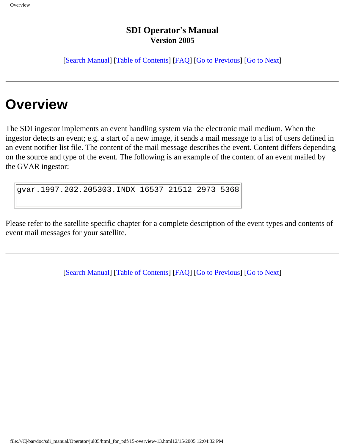[[Search Manual\]](file:///C|/bar/doc/sdi_manual/Operator/jul05/index.html) [\[Table of Contents\]](file:///C|/bar/doc/sdi_manual/Operator/jul05/html_for_pdf/index.html) [[FAQ\]](file:///C|/bar/doc/sdi_manual/Operator/jul05/html_for_pdf/appendixB.html) [[Go to Previous](file:///C|/bar/doc/sdi_manual/Operator/jul05/html_for_pdf/overview-12.html)] [[Go to Next](file:///C|/bar/doc/sdi_manual/Operator/jul05/html_for_pdf/overview-14.html)]

# **Overview**

The SDI ingestor implements an event handling system via the electronic mail medium. When the ingestor detects an event; e.g. a start of a new image, it sends a mail message to a list of users defined in an event notifier list file. The content of the mail message describes the event. Content differs depending on the source and type of the event. The following is an example of the content of an event mailed by the GVAR ingestor:

gvar.1997.202.205303.INDX 16537 21512 2973 5368

Please refer to the satellite specific chapter for a complete description of the event types and contents of event mail messages for your satellite.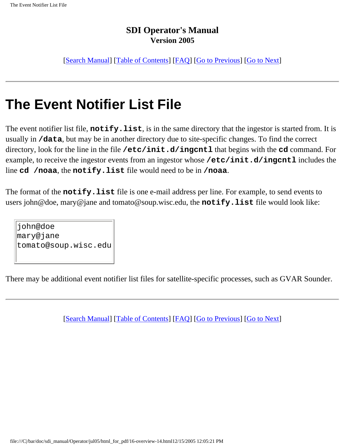[[Search Manual\]](file:///C|/bar/doc/sdi_manual/Operator/jul05/index.html) [\[Table of Contents\]](file:///C|/bar/doc/sdi_manual/Operator/jul05/html_for_pdf/index.html) [[FAQ\]](file:///C|/bar/doc/sdi_manual/Operator/jul05/html_for_pdf/appendixB.html) [[Go to Previous](file:///C|/bar/doc/sdi_manual/Operator/jul05/html_for_pdf/overview-13.html)] [[Go to Next](file:///C|/bar/doc/sdi_manual/Operator/jul05/html_for_pdf/overview-15.html)]

## **The Event Notifier List File**

The event notifier list file, **notify.list**, is in the same directory that the ingestor is started from. It is usually in **/data**, but may be in another directory due to site-specific changes. To find the correct directory, look for the line in the file **/etc/init.d/ingcntl** that begins with the **cd** command. For example, to receive the ingestor events from an ingestor whose **/etc/init.d/ingcntl** includes the line **cd /noaa**, the **notify.list** file would need to be in **/noaa**.

The format of the **notify.list** file is one e-mail address per line. For example, to send events to users john@doe, mary@jane and tomato@soup.wisc.edu, the **notify.list** file would look like:

john@doe mary@jane tomato@soup.wisc.edu

There may be additional event notifier list files for satellite-specific processes, such as GVAR Sounder.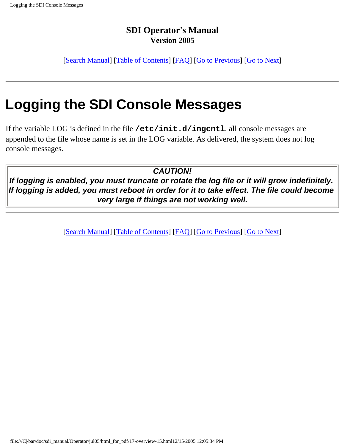[[Search Manual\]](file:///C|/bar/doc/sdi_manual/Operator/jul05/index.html) [\[Table of Contents\]](file:///C|/bar/doc/sdi_manual/Operator/jul05/html_for_pdf/index.html) [[FAQ\]](file:///C|/bar/doc/sdi_manual/Operator/jul05/html_for_pdf/appendixB.html) [[Go to Previous](file:///C|/bar/doc/sdi_manual/Operator/jul05/html_for_pdf/overview-14.html)] [[Go to Next](file:///C|/bar/doc/sdi_manual/Operator/jul05/html_for_pdf/install-1.html)]

## **Logging the SDI Console Messages**

If the variable LOG is defined in the file **/etc/init.d/ingcntl**, all console messages are appended to the file whose name is set in the LOG variable. As delivered, the system does not log console messages.

*CAUTION!*

*If logging is enabled, you must truncate or rotate the log file or it will grow indefinitely. If logging is added, you must reboot in order for it to take effect. The file could become very large if things are not working well.*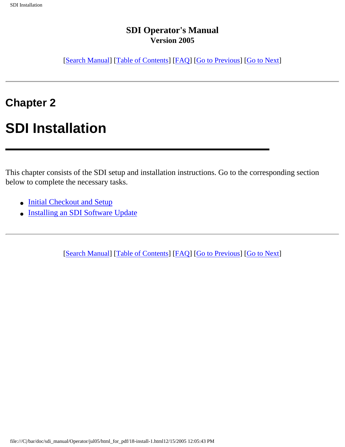[[Search Manual\]](file:///C|/bar/doc/sdi_manual/Operator/jul05/index.html) [\[Table of Contents\]](file:///C|/bar/doc/sdi_manual/Operator/jul05/html_for_pdf/index.html) [[FAQ\]](file:///C|/bar/doc/sdi_manual/Operator/jul05/html_for_pdf/appendixB.html) [[Go to Previous](file:///C|/bar/doc/sdi_manual/Operator/jul05/html_for_pdf/overview-15.html)] [[Go to Next](file:///C|/bar/doc/sdi_manual/Operator/jul05/html_for_pdf/install-2.html)]

### **Chapter 2**

### **SDI Installation**

This chapter consists of the SDI setup and installation instructions. Go to the corresponding section below to complete the necessary tasks.

- [Initial Checkout and Setup](file:///C|/bar/doc/sdi_manual/Operator/jul05/html_for_pdf/install-2.html#96081)
- [Installing an SDI Software Update](file:///C|/bar/doc/sdi_manual/Operator/jul05/html_for_pdf/install-9.html#16800)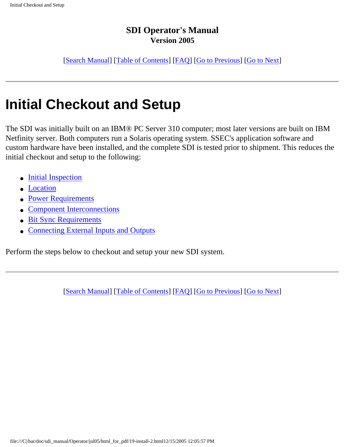[[Search Manual\]](file:///C|/bar/doc/sdi_manual/Operator/jul05/index.html) [\[Table of Contents\]](file:///C|/bar/doc/sdi_manual/Operator/jul05/html_for_pdf/index.html) [[FAQ\]](file:///C|/bar/doc/sdi_manual/Operator/jul05/html_for_pdf/appendixB.html) [[Go to Previous](file:///C|/bar/doc/sdi_manual/Operator/jul05/html_for_pdf/install-1.html)] [[Go to Next](file:///C|/bar/doc/sdi_manual/Operator/jul05/html_for_pdf/install-3.html)]

## **Initial Checkout and Setup**

The SDI was initially built on an IBM® PC Server 310 computer; most later versions are built on IBM Netfinity server. Both computers run a Solaris operating system. SSEC's application software and custom hardware have been installed, and the complete SDI is tested prior to shipment. This reduces the initial checkout and setup to the following:

- [Initial Inspection](file:///C|/bar/doc/sdi_manual/Operator/jul05/html_for_pdf/install-3.html#55242)
- [Location](file:///C|/bar/doc/sdi_manual/Operator/jul05/html_for_pdf/install-4.html#95047)
- [Power Requirements](file:///C|/bar/doc/sdi_manual/Operator/jul05/html_for_pdf/install-5.html#49011)
- [Component Interconnections](file:///C|/bar/doc/sdi_manual/Operator/jul05/html_for_pdf/install-6.html#90922)
- [Bit Sync Requirements](file:///C|/bar/doc/sdi_manual/Operator/jul05/html_for_pdf/install-7.html#37337)
- [Connecting External Inputs and Outputs](file:///C|/bar/doc/sdi_manual/Operator/jul05/html_for_pdf/install-8.html#63613)

Perform the steps below to checkout and setup your new SDI system.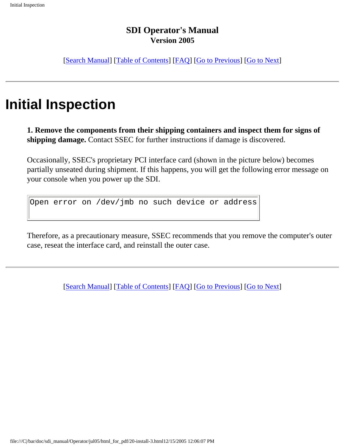[[Search Manual\]](file:///C|/bar/doc/sdi_manual/Operator/jul05/index.html) [\[Table of Contents\]](file:///C|/bar/doc/sdi_manual/Operator/jul05/html_for_pdf/index.html) [[FAQ\]](file:///C|/bar/doc/sdi_manual/Operator/jul05/html_for_pdf/appendixB.html) [[Go to Previous](file:///C|/bar/doc/sdi_manual/Operator/jul05/html_for_pdf/install-2.html)] [[Go to Next](file:///C|/bar/doc/sdi_manual/Operator/jul05/html_for_pdf/install-4.html)]

### **Initial Inspection**

**1. Remove the components from their shipping containers and inspect them for signs of shipping damage.** Contact SSEC for further instructions if damage is discovered.

Occasionally, SSEC's proprietary PCI interface card (shown in the picture below) becomes partially unseated during shipment. If this happens, you will get the following error message on your console when you power up the SDI.

Open error on /dev/jmb no such device or address

Therefore, as a precautionary measure, SSEC recommends that you remove the computer's outer case, reseat the interface card, and reinstall the outer case.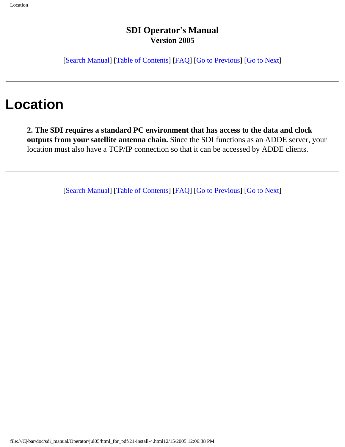[[Search Manual\]](file:///C|/bar/doc/sdi_manual/Operator/jul05/index.html) [\[Table of Contents\]](file:///C|/bar/doc/sdi_manual/Operator/jul05/html_for_pdf/index.html) [[FAQ\]](file:///C|/bar/doc/sdi_manual/Operator/jul05/html_for_pdf/appendixB.html) [[Go to Previous](file:///C|/bar/doc/sdi_manual/Operator/jul05/html_for_pdf/install-3.html)] [[Go to Next](file:///C|/bar/doc/sdi_manual/Operator/jul05/html_for_pdf/install-5.html)]

## **Location**

**2. The SDI requires a standard PC environment that has access to the data and clock outputs from your satellite antenna chain.** Since the SDI functions as an ADDE server, your location must also have a TCP/IP connection so that it can be accessed by ADDE clients.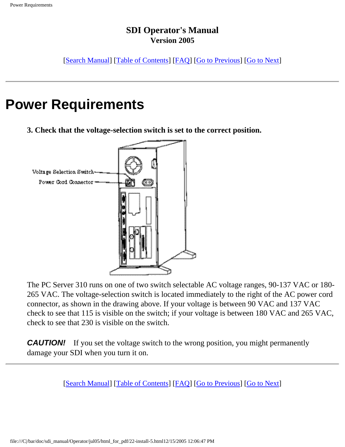[[Search Manual\]](file:///C|/bar/doc/sdi_manual/Operator/jul05/index.html) [\[Table of Contents\]](file:///C|/bar/doc/sdi_manual/Operator/jul05/html_for_pdf/index.html) [[FAQ\]](file:///C|/bar/doc/sdi_manual/Operator/jul05/html_for_pdf/appendixB.html) [[Go to Previous](file:///C|/bar/doc/sdi_manual/Operator/jul05/html_for_pdf/install-4.html)] [[Go to Next](file:///C|/bar/doc/sdi_manual/Operator/jul05/html_for_pdf/install-6.html)]

### **Power Requirements**

**3. Check that the voltage-selection switch is set to the correct position.**



The PC Server 310 runs on one of two switch selectable AC voltage ranges, 90-137 VAC or 180- 265 VAC. The voltage-selection switch is located immediately to the right of the AC power cord connector, as shown in the drawing above. If your voltage is between 90 VAC and 137 VAC check to see that 115 is visible on the switch; if your voltage is between 180 VAC and 265 VAC, check to see that 230 is visible on the switch.

**CAUTION!** If you set the voltage switch to the wrong position, you might permanently damage your SDI when you turn it on.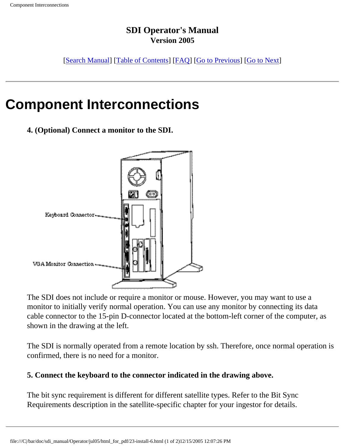[[Search Manual\]](file:///C|/bar/doc/sdi_manual/Operator/jul05/index.html) [\[Table of Contents\]](file:///C|/bar/doc/sdi_manual/Operator/jul05/html_for_pdf/index.html) [[FAQ\]](file:///C|/bar/doc/sdi_manual/Operator/jul05/html_for_pdf/appendixB.html) [[Go to Previous](file:///C|/bar/doc/sdi_manual/Operator/jul05/html_for_pdf/install-5.html)] [[Go to Next](file:///C|/bar/doc/sdi_manual/Operator/jul05/html_for_pdf/install-7.html)]

### **Component Interconnections**

**4. (Optional) Connect a monitor to the SDI.**



The SDI does not include or require a monitor or mouse. However, you may want to use a monitor to initially verify normal operation. You can use any monitor by connecting its data cable connector to the 15-pin D-connector located at the bottom-left corner of the computer, as shown in the drawing at the left.

The SDI is normally operated from a remote location by ssh. Therefore, once normal operation is confirmed, there is no need for a monitor.

#### **5. Connect the keyboard to the connector indicated in the drawing above.**

The bit sync requirement is different for different satellite types. Refer to the Bit Sync Requirements description in the satellite-specific chapter for your ingestor for details.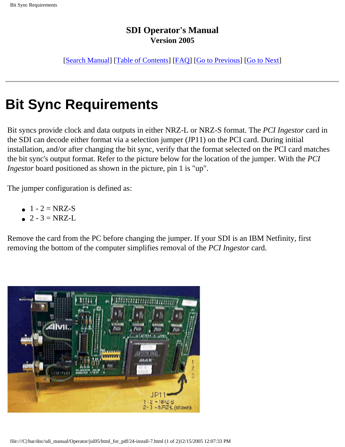[[Search Manual\]](file:///C|/bar/doc/sdi_manual/Operator/jul05/index.html) [\[Table of Contents\]](file:///C|/bar/doc/sdi_manual/Operator/jul05/html_for_pdf/index.html) [[FAQ\]](file:///C|/bar/doc/sdi_manual/Operator/jul05/html_for_pdf/appendixB.html) [[Go to Previous](file:///C|/bar/doc/sdi_manual/Operator/jul05/html_for_pdf/install-6.html)] [[Go to Next](file:///C|/bar/doc/sdi_manual/Operator/jul05/html_for_pdf/install-8.html)]

## **Bit Sync Requirements**

Bit syncs provide clock and data outputs in either NRZ-L or NRZ-S format. The *PCI Ingestor* card in the SDI can decode either format via a selection jumper (JP11) on the PCI card. During initial installation, and/or after changing the bit sync, verify that the format selected on the PCI card matches the bit sync's output format. Refer to the picture below for the location of the jumper. With the *PCI Ingestor* board positioned as shown in the picture, pin 1 is "up".

The jumper configuration is defined as:

- $1 2 = NRZ-S$
- $2 3 = NRZ-L$

Remove the card from the PC before changing the jumper. If your SDI is an IBM Netfinity, first removing the bottom of the computer simplifies removal of the *PCI Ingestor* card.

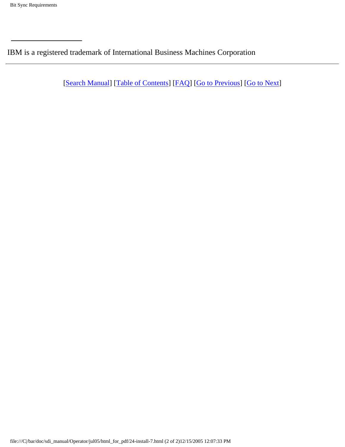IBM is a registered trademark of International Business Machines Corporation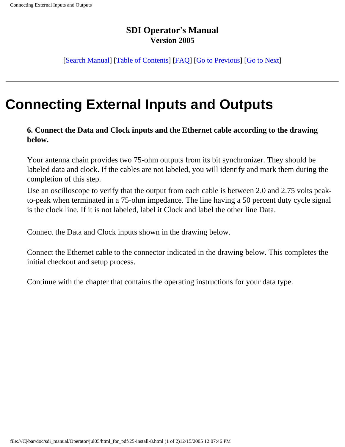[[Search Manual\]](file:///C|/bar/doc/sdi_manual/Operator/jul05/index.html) [\[Table of Contents\]](file:///C|/bar/doc/sdi_manual/Operator/jul05/html_for_pdf/index.html) [[FAQ\]](file:///C|/bar/doc/sdi_manual/Operator/jul05/html_for_pdf/appendixB.html) [[Go to Previous](file:///C|/bar/doc/sdi_manual/Operator/jul05/html_for_pdf/install-7.html)] [[Go to Next](file:///C|/bar/doc/sdi_manual/Operator/jul05/html_for_pdf/install-9.html)]

## **Connecting External Inputs and Outputs**

**6. Connect the Data and Clock inputs and the Ethernet cable according to the drawing below.**

Your antenna chain provides two 75-ohm outputs from its bit synchronizer. They should be labeled data and clock. If the cables are not labeled, you will identify and mark them during the completion of this step.

Use an oscilloscope to verify that the output from each cable is between 2.0 and 2.75 volts peakto-peak when terminated in a 75-ohm impedance. The line having a 50 percent duty cycle signal is the clock line. If it is not labeled, label it Clock and label the other line Data.

Connect the Data and Clock inputs shown in the drawing below.

Connect the Ethernet cable to the connector indicated in the drawing below. This completes the initial checkout and setup process.

Continue with the chapter that contains the operating instructions for your data type.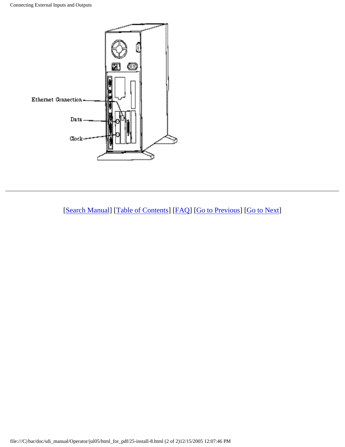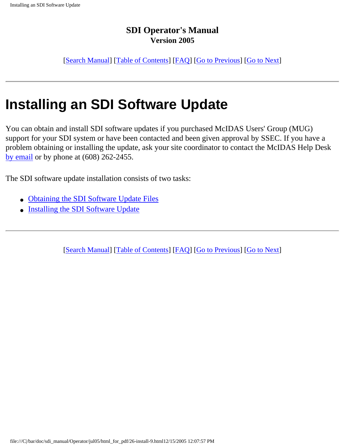[[Search Manual\]](file:///C|/bar/doc/sdi_manual/Operator/jul05/index.html) [\[Table of Contents\]](file:///C|/bar/doc/sdi_manual/Operator/jul05/html_for_pdf/index.html) [[FAQ\]](file:///C|/bar/doc/sdi_manual/Operator/jul05/html_for_pdf/appendixB.html) [[Go to Previous](file:///C|/bar/doc/sdi_manual/Operator/jul05/html_for_pdf/install-8.html)] [[Go to Next](file:///C|/bar/doc/sdi_manual/Operator/jul05/html_for_pdf/install-10.html)]

## **Installing an SDI Software Update**

You can obtain and install SDI software updates if you purchased McIDAS Users' Group (MUG) support for your SDI system or have been contacted and been given approval by SSEC. If you have a problem obtaining or installing the update, ask your site coordinator to contact the McIDAS Help Desk [by email](file:///C|/bar/doc/sdi_manual/misc/contact.html?helpdesk) or by phone at (608) 262-2455.

The SDI software update installation consists of two tasks:

- [Obtaining the SDI Software Update Files](file:///C|/bar/doc/sdi_manual/Operator/jul05/html_for_pdf/install-10.html#59182)
- [Installing the SDI Software Update](file:///C|/bar/doc/sdi_manual/Operator/jul05/html_for_pdf/install-11.html#97853)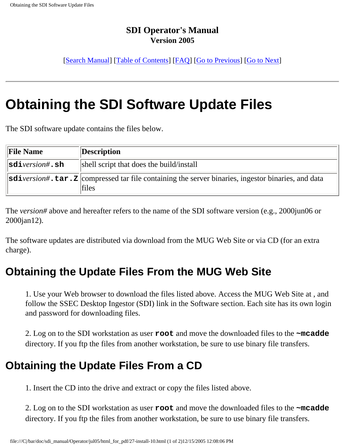[[Search Manual\]](file:///C|/bar/doc/sdi_manual/Operator/jul05/index.html) [\[Table of Contents\]](file:///C|/bar/doc/sdi_manual/Operator/jul05/html_for_pdf/index.html) [[FAQ\]](file:///C|/bar/doc/sdi_manual/Operator/jul05/html_for_pdf/appendixB.html) [[Go to Previous](file:///C|/bar/doc/sdi_manual/Operator/jul05/html_for_pdf/install-9.html)] [[Go to Next](file:///C|/bar/doc/sdi_manual/Operator/jul05/html_for_pdf/install-11.html)]

## **Obtaining the SDI Software Update Files**

The SDI software update contains the files below.

| <b>File Name</b>    | Description                                                                                                                 |
|---------------------|-----------------------------------------------------------------------------------------------------------------------------|
| $\ $ sdiversion#.sh | shell script that does the build/install                                                                                    |
|                     | $ \text{sdiversion}\#$ . $\tan z $ compressed tar file containing the server binaries, ingestor binaries, and data<br>files |

The *version#* above and hereafter refers to the name of the SDI software version (e.g., 2000jun06 or 2000jan12).

The software updates are distributed via download from the MUG Web Site or via CD (for an extra charge).

### **Obtaining the Update Files From the MUG Web Site**

1. Use your Web browser to download the files listed above. Access the MUG Web Site at , and follow the SSEC Desktop Ingestor (SDI) link in the Software section. Each site has its own login and password for downloading files.

2. Log on to the SDI workstation as user **root** and move the downloaded files to the **~mcadde** directory. If you ftp the files from another workstation, be sure to use binary file transfers.

### **Obtaining the Update Files From a CD**

1. Insert the CD into the drive and extract or copy the files listed above.

2. Log on to the SDI workstation as user **root** and move the downloaded files to the **~mcadde** directory. If you ftp the files from another workstation, be sure to use binary file transfers.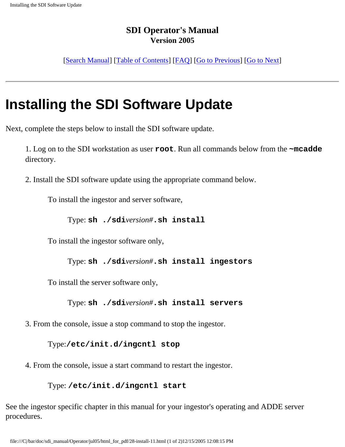[[Search Manual\]](file:///C|/bar/doc/sdi_manual/Operator/jul05/index.html) [\[Table of Contents\]](file:///C|/bar/doc/sdi_manual/Operator/jul05/html_for_pdf/index.html) [[FAQ\]](file:///C|/bar/doc/sdi_manual/Operator/jul05/html_for_pdf/appendixB.html) [[Go to Previous](file:///C|/bar/doc/sdi_manual/Operator/jul05/html_for_pdf/install-10.html)] [[Go to Next](file:///C|/bar/doc/sdi_manual/Operator/jul05/html_for_pdf/gvar-1.html)]

# **Installing the SDI Software Update**

Next, complete the steps below to install the SDI software update.

1. Log on to the SDI workstation as user **root**. Run all commands below from the **~mcadde** directory.

2. Install the SDI software update using the appropriate command below.

To install the ingestor and server software,

Type: **sh ./sdi***version#***.sh install**

To install the ingestor software only,

Type: **sh ./sdi***version#***.sh install ingestors**

To install the server software only,

Type: **sh ./sdi***version#***.sh install servers**

3. From the console, issue a stop command to stop the ingestor.

Type:**/etc/init.d/ingcntl stop**

4. From the console, issue a start command to restart the ingestor.

#### Type: **/etc/init.d/ingcntl start**

See the ingestor specific chapter in this manual for your ingestor's operating and ADDE server procedures.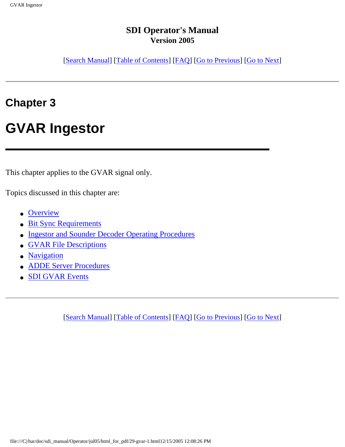[[Search Manual\]](file:///C|/bar/doc/sdi_manual/Operator/jul05/index.html) [\[Table of Contents\]](file:///C|/bar/doc/sdi_manual/Operator/jul05/html_for_pdf/index.html) [[FAQ\]](file:///C|/bar/doc/sdi_manual/Operator/jul05/html_for_pdf/appendixB.html) [[Go to Previous](file:///C|/bar/doc/sdi_manual/Operator/jul05/html_for_pdf/install-11.html)] [[Go to Next](file:///C|/bar/doc/sdi_manual/Operator/jul05/html_for_pdf/gvar-2.html)]

### **Chapter 3**

## **GVAR Ingestor**

This chapter applies to the GVAR signal only.

Topics discussed in this chapter are:

- [Overview](file:///C|/bar/doc/sdi_manual/Operator/jul05/html_for_pdf/gvar-3.html#62525)
- [Bit Sync Requirements](file:///C|/bar/doc/sdi_manual/Operator/jul05/html_for_pdf/gvar-4.html#35288)
- [Ingestor and Sounder Decoder Operating Procedures](file:///C|/bar/doc/sdi_manual/Operator/jul05/html_for_pdf/gvar-5.html#36547)
- **[GVAR File Descriptions](file:///C|/bar/doc/sdi_manual/Operator/jul05/html_for_pdf/gvar-14.html#19456)**
- [Navigation](file:///C|/bar/doc/sdi_manual/Operator/jul05/html_for_pdf/gvar-19.html#21367)
- **[ADDE Server Procedures](file:///C|/bar/doc/sdi_manual/Operator/jul05/html_for_pdf/gvar-21.html#10991)**
- [SDI GVAR Events](file:///C|/bar/doc/sdi_manual/Operator/jul05/html_for_pdf/gvar-26.html#16654)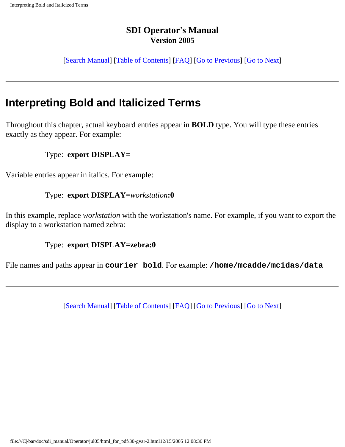[[Search Manual\]](file:///C|/bar/doc/sdi_manual/Operator/jul05/index.html) [\[Table of Contents\]](file:///C|/bar/doc/sdi_manual/Operator/jul05/html_for_pdf/index.html) [[FAQ\]](file:///C|/bar/doc/sdi_manual/Operator/jul05/html_for_pdf/appendixB.html) [[Go to Previous](file:///C|/bar/doc/sdi_manual/Operator/jul05/html_for_pdf/gvar-1.html)] [[Go to Next](file:///C|/bar/doc/sdi_manual/Operator/jul05/html_for_pdf/gvar-3.html)]

### **Interpreting Bold and Italicized Terms**

Throughout this chapter, actual keyboard entries appear in **BOLD** type. You will type these entries exactly as they appear. For example:

#### Type: **export DISPLAY=**

Variable entries appear in italics. For example:

#### Type: **export DISPLAY=***workstation***:0**

In this example, replace *workstation* with the workstation's name. For example, if you want to export the display to a workstation named zebra:

#### Type: **export DISPLAY=zebra:0**

File names and paths appear in **courier bold**. For example: **/home/mcadde/mcidas/data**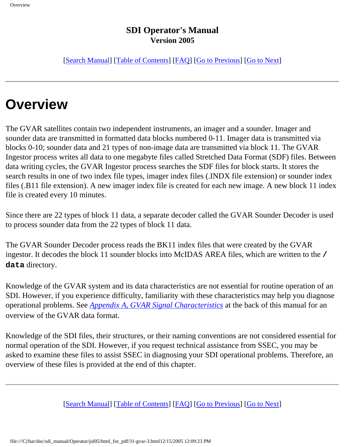[[Search Manual\]](file:///C|/bar/doc/sdi_manual/Operator/jul05/index.html) [\[Table of Contents\]](file:///C|/bar/doc/sdi_manual/Operator/jul05/html_for_pdf/index.html) [[FAQ\]](file:///C|/bar/doc/sdi_manual/Operator/jul05/html_for_pdf/appendixB.html) [[Go to Previous](file:///C|/bar/doc/sdi_manual/Operator/jul05/html_for_pdf/gvar-2.html)] [[Go to Next](file:///C|/bar/doc/sdi_manual/Operator/jul05/html_for_pdf/gvar-4.html)]

# **Overview**

The GVAR satellites contain two independent instruments, an imager and a sounder. Imager and sounder data are transmitted in formatted data blocks numbered 0-11. Imager data is transmitted via blocks 0-10; sounder data and 21 types of non-image data are transmitted via block 11. The GVAR Ingestor process writes all data to one megabyte files called Stretched Data Format (SDF) files. Between data writing cycles, the GVAR Ingestor process searches the SDF files for block starts. It stores the search results in one of two index file types, imager index files (.INDX file extension) or sounder index files (.B11 file extension). A new imager index file is created for each new image. A new block 11 index file is created every 10 minutes.

Since there are 22 types of block 11 data, a separate decoder called the GVAR Sounder Decoder is used to process sounder data from the 22 types of block 11 data.

The GVAR Sounder Decoder process reads the BK11 index files that were created by the GVAR ingestor. It decodes the block 11 sounder blocks into McIDAS AREA files, which are written to the **/ data** directory.

Knowledge of the GVAR system and its data characteristics are not essential for routine operation of an SDI. However, if you experience difficulty, familiarity with these characteristics may help you diagnose operational problems. See *[Appendix A, GVAR Signal Characteristics](file:///C|/bar/doc/sdi_manual/Operator/jul05/html_for_pdf/appendixA-1.html#24283)* at the back of this manual for an overview of the GVAR data format.

Knowledge of the SDI files, their structures, or their naming conventions are not considered essential for normal operation of the SDI. However, if you request technical assistance from SSEC, you may be asked to examine these files to assist SSEC in diagnosing your SDI operational problems. Therefore, an overview of these files is provided at the end of this chapter.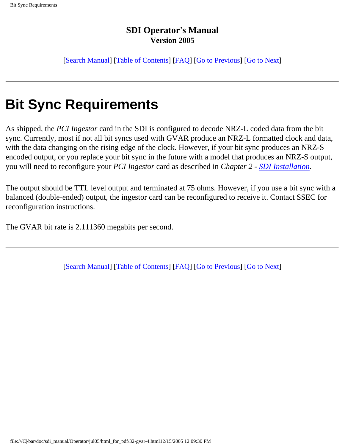[[Search Manual\]](file:///C|/bar/doc/sdi_manual/Operator/jul05/index.html) [\[Table of Contents\]](file:///C|/bar/doc/sdi_manual/Operator/jul05/html_for_pdf/index.html) [[FAQ\]](file:///C|/bar/doc/sdi_manual/Operator/jul05/html_for_pdf/appendixB.html) [[Go to Previous](file:///C|/bar/doc/sdi_manual/Operator/jul05/html_for_pdf/gvar-3.html)] [[Go to Next](file:///C|/bar/doc/sdi_manual/Operator/jul05/html_for_pdf/gvar-5.html)]

# **Bit Sync Requirements**

As shipped, the *PCI Ingestor* card in the SDI is configured to decode NRZ-L coded data from the bit sync. Currently, most if not all bit syncs used with GVAR produce an NRZ-L formatted clock and data, with the data changing on the rising edge of the clock. However, if your bit sync produces an NRZ-S encoded output, or you replace your bit sync in the future with a model that produces an NRZ-S output, you will need to reconfigure your *PCI Ingestor* card as described in *Chapter 2 - [SDI Installation](file:///C|/bar/doc/sdi_manual/Operator/jul05/html_for_pdf/install-1.html#34212)*.

The output should be TTL level output and terminated at 75 ohms. However, if you use a bit sync with a balanced (double-ended) output, the ingestor card can be reconfigured to receive it. Contact SSEC for reconfiguration instructions.

The GVAR bit rate is 2.111360 megabits per second.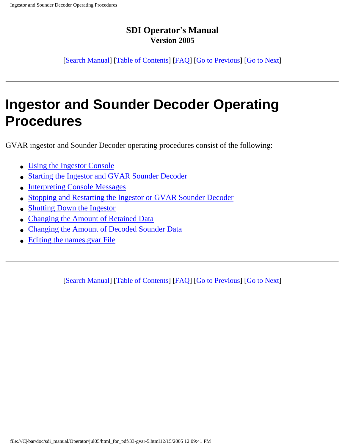[[Search Manual\]](file:///C|/bar/doc/sdi_manual/Operator/jul05/index.html) [\[Table of Contents\]](file:///C|/bar/doc/sdi_manual/Operator/jul05/html_for_pdf/index.html) [[FAQ\]](file:///C|/bar/doc/sdi_manual/Operator/jul05/html_for_pdf/appendixB.html) [[Go to Previous](file:///C|/bar/doc/sdi_manual/Operator/jul05/html_for_pdf/gvar-4.html)] [[Go to Next](file:///C|/bar/doc/sdi_manual/Operator/jul05/html_for_pdf/gvar-6.html)]

# **Ingestor and Sounder Decoder Operating Procedures**

GVAR ingestor and Sounder Decoder operating procedures consist of the following:

- [Using the Ingestor Console](file:///C|/bar/doc/sdi_manual/Operator/jul05/html_for_pdf/gvar-6.html#11526)
- [Starting the Ingestor and GVAR Sounder Decoder](file:///C|/bar/doc/sdi_manual/Operator/jul05/html_for_pdf/gvar-7.html#10478)
- **[Interpreting Console Messages](file:///C|/bar/doc/sdi_manual/Operator/jul05/html_for_pdf/gvar-8.html#15383)**
- [Stopping and Restarting the Ingestor or GVAR Sounder Decoder](file:///C|/bar/doc/sdi_manual/Operator/jul05/html_for_pdf/gvar-9.html#42427)
- [Shutting Down the Ingestor](file:///C|/bar/doc/sdi_manual/Operator/jul05/html_for_pdf/gvar-10.html#10272)
- [Changing the Amount of Retained Data](file:///C|/bar/doc/sdi_manual/Operator/jul05/html_for_pdf/gvar-11.html#42038)
- [Changing the Amount of Decoded Sounder Data](file:///C|/bar/doc/sdi_manual/Operator/jul05/html_for_pdf/gvar-12.html#39937)
- [Editing the names.gvar File](file:///C|/bar/doc/sdi_manual/Operator/jul05/html_for_pdf/gvar-13.html#30802)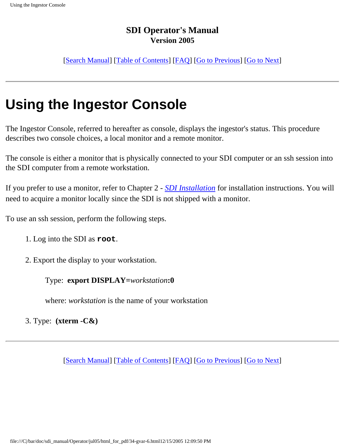[[Search Manual\]](file:///C|/bar/doc/sdi_manual/Operator/jul05/index.html) [\[Table of Contents\]](file:///C|/bar/doc/sdi_manual/Operator/jul05/html_for_pdf/index.html) [[FAQ\]](file:///C|/bar/doc/sdi_manual/Operator/jul05/html_for_pdf/appendixB.html) [[Go to Previous](file:///C|/bar/doc/sdi_manual/Operator/jul05/html_for_pdf/gvar-5.html)] [[Go to Next](file:///C|/bar/doc/sdi_manual/Operator/jul05/html_for_pdf/gvar-7.html)]

# **Using the Ingestor Console**

The Ingestor Console, referred to hereafter as console, displays the ingestor's status. This procedure describes two console choices, a local monitor and a remote monitor.

The console is either a monitor that is physically connected to your SDI computer or an ssh session into the SDI computer from a remote workstation.

If you prefer to use a monitor, refer to Chapter 2 - *[SDI Installation](file:///C|/bar/doc/sdi_manual/Operator/jul05/html_for_pdf/install-1.html#34212)* for installation instructions. You will need to acquire a monitor locally since the SDI is not shipped with a monitor.

To use an ssh session, perform the following steps.

- 1. Log into the SDI as **root**.
- 2. Export the display to your workstation.

Type: **export DISPLAY=***workstation***:0**

where: *workstation* is the name of your workstation

3. Type: **(xterm -C&)**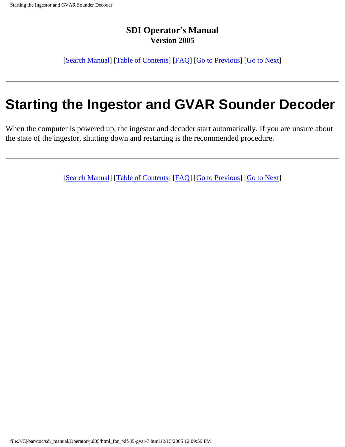[[Search Manual\]](file:///C|/bar/doc/sdi_manual/Operator/jul05/index.html) [\[Table of Contents\]](file:///C|/bar/doc/sdi_manual/Operator/jul05/html_for_pdf/index.html) [[FAQ\]](file:///C|/bar/doc/sdi_manual/Operator/jul05/html_for_pdf/appendixB.html) [[Go to Previous](file:///C|/bar/doc/sdi_manual/Operator/jul05/html_for_pdf/gvar-6.html)] [[Go to Next](file:///C|/bar/doc/sdi_manual/Operator/jul05/html_for_pdf/gvar-8.html)]

# **Starting the Ingestor and GVAR Sounder Decoder**

When the computer is powered up, the ingestor and decoder start automatically. If you are unsure about the state of the ingestor, shutting down and restarting is the recommended procedure.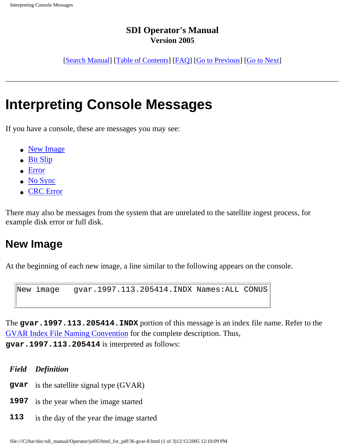[[Search Manual\]](file:///C|/bar/doc/sdi_manual/Operator/jul05/index.html) [\[Table of Contents\]](file:///C|/bar/doc/sdi_manual/Operator/jul05/html_for_pdf/index.html) [[FAQ\]](file:///C|/bar/doc/sdi_manual/Operator/jul05/html_for_pdf/appendixB.html) [[Go to Previous](file:///C|/bar/doc/sdi_manual/Operator/jul05/html_for_pdf/gvar-7.html)] [[Go to Next](file:///C|/bar/doc/sdi_manual/Operator/jul05/html_for_pdf/gvar-9.html)]

# **Interpreting Console Messages**

If you have a console, these are messages you may see:

- [New Image](file:///C|/bar/doc/sdi_manual/Operator/jul05/html_for_pdf/gvar-8.html#42407)
- [Bit Slip](file:///C|/bar/doc/sdi_manual/Operator/jul05/html_for_pdf/gvar-8.html#14952)
- [Error](file:///C|/bar/doc/sdi_manual/Operator/jul05/html_for_pdf/gvar-8.html#23606)
- [No Sync](file:///C|/bar/doc/sdi_manual/Operator/jul05/html_for_pdf/gvar-8.html#72800)
- [CRC Error](file:///C|/bar/doc/sdi_manual/Operator/jul05/html_for_pdf/gvar-8.html#19820)

There may also be messages from the system that are unrelated to the satellite ingest process, for example disk error or full disk.

### **New Image**

At the beginning of each new image, a line similar to the following appears on the console.

```
New image gvar.1997.113.205414.INDX Names:ALL CONUS
```
The **gvar.1997.113.205414.INDX** portion of this message is an index file name. Refer to the [GVAR Index File Naming Convention](file:///C|/bar/doc/sdi_manual/Operator/jul05/html_for_pdf/gvar-15.html#27942) for the complete description. Thus, **gvar.1997.113.205414** is interpreted as follows:

*Field Definition*

- **gvar** is the satellite signal type (GVAR)
- **1997** is the year when the image started
- **113** is the day of the year the image started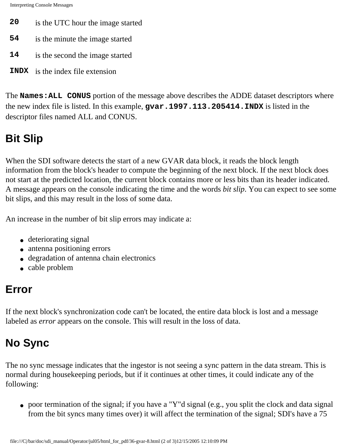Interpreting Console Messages

- **20** is the UTC hour the image started
- **54** is the minute the image started
- **14** is the second the image started
- **INDX** is the index file extension

The **Names:ALL CONUS** portion of the message above describes the ADDE dataset descriptors where the new index file is listed. In this example, **gvar.1997.113.205414.INDX** is listed in the descriptor files named ALL and CONUS.

## **Bit Slip**

When the SDI software detects the start of a new GVAR data block, it reads the block length information from the block's header to compute the beginning of the next block. If the next block does not start at the predicted location, the current block contains more or less bits than its header indicated. A message appears on the console indicating the time and the words *bit slip*. You can expect to see some bit slips, and this may result in the loss of some data.

An increase in the number of bit slip errors may indicate a:

- deteriorating signal
- antenna positioning errors
- degradation of antenna chain electronics
- cable problem

## **Error**

If the next block's synchronization code can't be located, the entire data block is lost and a message labeled as *error* appears on the console. This will result in the loss of data.

## **No Sync**

The no sync message indicates that the ingestor is not seeing a sync pattern in the data stream. This is normal during housekeeping periods, but if it continues at other times, it could indicate any of the following:

• poor termination of the signal; if you have a "Y"d signal (e.g., you split the clock and data signal from the bit syncs many times over) it will affect the termination of the signal; SDI's have a 75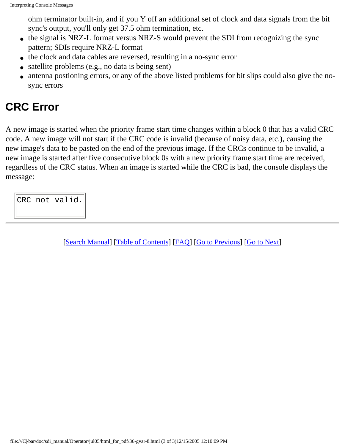ohm terminator built-in, and if you Y off an additional set of clock and data signals from the bit sync's output, you'll only get 37.5 ohm termination, etc.

- the signal is NRZ-L format versus NRZ-S would prevent the SDI from recognizing the sync pattern; SDIs require NRZ-L format
- the clock and data cables are reversed, resulting in a no-sync error
- satellite problems (e.g., no data is being sent)
- antenna postioning errors, or any of the above listed problems for bit slips could also give the nosync errors

### **CRC Error**

A new image is started when the priority frame start time changes within a block 0 that has a valid CRC code. A new image will not start if the CRC code is invalid (because of noisy data, etc.), causing the new image's data to be pasted on the end of the previous image. If the CRCs continue to be invalid, a new image is started after five consecutive block 0s with a new priority frame start time are received, regardless of the CRC status. When an image is started while the CRC is bad, the console displays the message:

CRC not valid.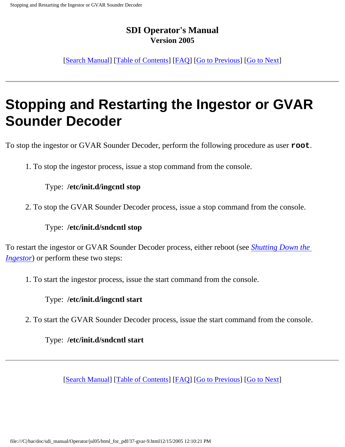[[Search Manual\]](file:///C|/bar/doc/sdi_manual/Operator/jul05/index.html) [\[Table of Contents\]](file:///C|/bar/doc/sdi_manual/Operator/jul05/html_for_pdf/index.html) [[FAQ\]](file:///C|/bar/doc/sdi_manual/Operator/jul05/html_for_pdf/appendixB.html) [[Go to Previous](file:///C|/bar/doc/sdi_manual/Operator/jul05/html_for_pdf/gvar-8.html)] [[Go to Next](file:///C|/bar/doc/sdi_manual/Operator/jul05/html_for_pdf/gvar-10.html)]

# **Stopping and Restarting the Ingestor or GVAR Sounder Decoder**

To stop the ingestor or GVAR Sounder Decoder, perform the following procedure as user **root**.

1. To stop the ingestor process, issue a stop command from the console.

#### Type: **/etc/init.d/ingcntl stop**

2. To stop the GVAR Sounder Decoder process, issue a stop command from the console.

#### Type: **/etc/init.d/sndcntl stop**

To restart the ingestor or GVAR Sounder Decoder process, either reboot (see *[Shutting Down the](file:///C|/bar/doc/sdi_manual/Operator/jul05/html_for_pdf/gvar-10.html#10272) [Ingestor](file:///C|/bar/doc/sdi_manual/Operator/jul05/html_for_pdf/gvar-10.html#10272)*) or perform these two steps:

1. To start the ingestor process, issue the start command from the console.

#### Type: **/etc/init.d/ingcntl start**

2. To start the GVAR Sounder Decoder process, issue the start command from the console.

Type: **/etc/init.d/sndcntl start**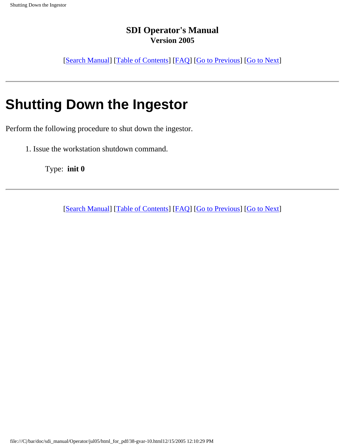[[Search Manual\]](file:///C|/bar/doc/sdi_manual/Operator/jul05/index.html) [\[Table of Contents\]](file:///C|/bar/doc/sdi_manual/Operator/jul05/html_for_pdf/index.html) [[FAQ\]](file:///C|/bar/doc/sdi_manual/Operator/jul05/html_for_pdf/appendixB.html) [[Go to Previous](file:///C|/bar/doc/sdi_manual/Operator/jul05/html_for_pdf/gvar-9.html)] [[Go to Next](file:///C|/bar/doc/sdi_manual/Operator/jul05/html_for_pdf/gvar-11.html)]

# **Shutting Down the Ingestor**

Perform the following procedure to shut down the ingestor.

1. Issue the workstation shutdown command.

Type: **init 0**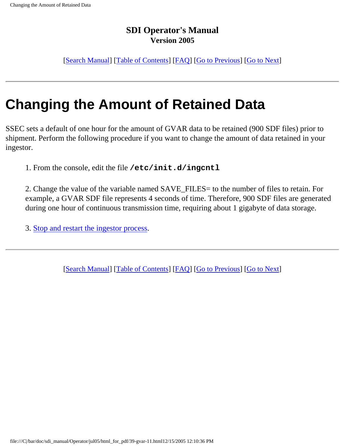[[Search Manual\]](file:///C|/bar/doc/sdi_manual/Operator/jul05/index.html) [\[Table of Contents\]](file:///C|/bar/doc/sdi_manual/Operator/jul05/html_for_pdf/index.html) [[FAQ\]](file:///C|/bar/doc/sdi_manual/Operator/jul05/html_for_pdf/appendixB.html) [[Go to Previous](file:///C|/bar/doc/sdi_manual/Operator/jul05/html_for_pdf/gvar-10.html)] [[Go to Next](file:///C|/bar/doc/sdi_manual/Operator/jul05/html_for_pdf/gvar-12.html)]

# **Changing the Amount of Retained Data**

SSEC sets a default of one hour for the amount of GVAR data to be retained (900 SDF files) prior to shipment. Perform the following procedure if you want to change the amount of data retained in your ingestor.

1. From the console, edit the file **/etc/init.d/ingcntl**

2. Change the value of the variable named SAVE\_FILES= to the number of files to retain. For example, a GVAR SDF file represents 4 seconds of time. Therefore, 900 SDF files are generated during one hour of continuous transmission time, requiring about 1 gigabyte of data storage.

3. [Stop and restart the ingestor process.](file:///C|/bar/doc/sdi_manual/Operator/jul05/html_for_pdf/gvar-9.html)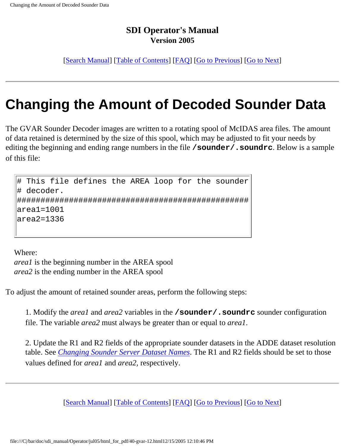[[Search Manual\]](file:///C|/bar/doc/sdi_manual/Operator/jul05/index.html) [\[Table of Contents\]](file:///C|/bar/doc/sdi_manual/Operator/jul05/html_for_pdf/index.html) [[FAQ\]](file:///C|/bar/doc/sdi_manual/Operator/jul05/html_for_pdf/appendixB.html) [[Go to Previous](file:///C|/bar/doc/sdi_manual/Operator/jul05/html_for_pdf/gvar-11.html)] [[Go to Next](file:///C|/bar/doc/sdi_manual/Operator/jul05/html_for_pdf/gvar-13.html)]

# **Changing the Amount of Decoded Sounder Data**

The GVAR Sounder Decoder images are written to a rotating spool of McIDAS area files. The amount of data retained is determined by the size of this spool, which may be adjusted to fit your needs by editing the beginning and ending range numbers in the file **/sounder/.soundrc**. Below is a sample of this file:

# This file defines the AREA loop for the sounder # decoder. ################################################# area1=1001 area2=1336

Where:

*area1* is the beginning number in the AREA spool *area2* is the ending number in the AREA spool

To adjust the amount of retained sounder areas, perform the following steps:

1. Modify the *area1* and *area2* variables in the **/sounder/.soundrc** sounder configuration file. The variable *area2* must always be greater than or equal to *area1*.

2. Update the R1 and R2 fields of the appropriate sounder datasets in the ADDE dataset resolution table. See *[Changing Sounder Server Dataset Names](file:///C|/bar/doc/sdi_manual/Operator/jul05/html_for_pdf/gvar-24.html#16868)*. The R1 and R2 fields should be set to those values defined for *area1* and *area2,* respectively.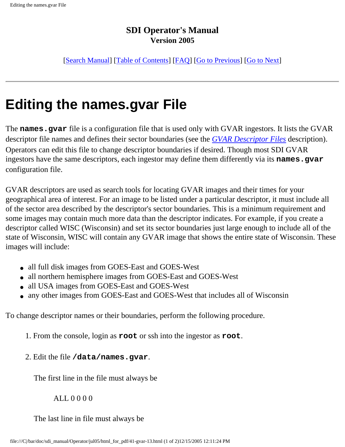[[Search Manual\]](file:///C|/bar/doc/sdi_manual/Operator/jul05/index.html) [\[Table of Contents\]](file:///C|/bar/doc/sdi_manual/Operator/jul05/html_for_pdf/index.html) [[FAQ\]](file:///C|/bar/doc/sdi_manual/Operator/jul05/html_for_pdf/appendixB.html) [[Go to Previous](file:///C|/bar/doc/sdi_manual/Operator/jul05/html_for_pdf/gvar-12.html)] [[Go to Next](file:///C|/bar/doc/sdi_manual/Operator/jul05/html_for_pdf/gvar-14.html)]

# **Editing the names.gvar File**

The **names.gvar** file is a configuration file that is used only with GVAR ingestors. It lists the GVAR descriptor file names and defines their sector boundaries (see the *[GVAR Descriptor Files](file:///C|/bar/doc/sdi_manual/Operator/jul05/html_for_pdf/gvar-17.html#37445)* description). Operators can edit this file to change descriptor boundaries if desired. Though most SDI GVAR ingestors have the same descriptors, each ingestor may define them differently via its **names**.gvar configuration file.

GVAR descriptors are used as search tools for locating GVAR images and their times for your geographical area of interest. For an image to be listed under a particular descriptor, it must include all of the sector area described by the descriptor's sector boundaries. This is a minimum requirement and some images may contain much more data than the descriptor indicates. For example, if you create a descriptor called WISC (Wisconsin) and set its sector boundaries just large enough to include all of the state of Wisconsin, WISC will contain any GVAR image that shows the entire state of Wisconsin. These images will include:

- all full disk images from GOES-East and GOES-West
- all northern hemisphere images from GOES-East and GOES-West
- all USA images from GOES-East and GOES-West
- any other images from GOES-East and GOES-West that includes all of Wisconsin

To change descriptor names or their boundaries, perform the following procedure.

- 1. From the console, login as **root** or ssh into the ingestor as **root**.
- 2. Edit the file **/data/names.gvar**.

The first line in the file must always be

ALL 0 0 0 0

The last line in file must always be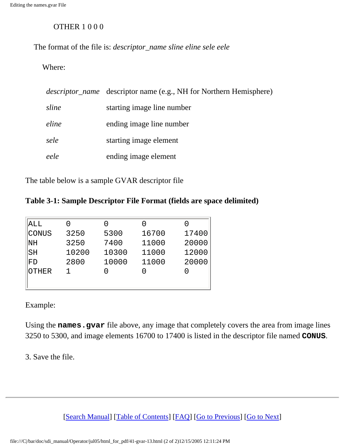#### OTHER 1 0 0 0

The format of the file is: *descriptor\_name sline eline sele eele*

#### Where:

|       | <i>descriptor_name</i> descriptor name (e.g., NH for Northern Hemisphere) |
|-------|---------------------------------------------------------------------------|
| sline | starting image line number                                                |
| eline | ending image line number                                                  |
| sele  | starting image element                                                    |
| eele  | ending image element                                                      |

The table below is a sample GVAR descriptor file

#### **Table 3-1: Sample Descriptor File Format (fields are space delimited)**

| 3250  | 5300  | 16700 | 17400 |
|-------|-------|-------|-------|
| 3250  | 7400  | 11000 | 20000 |
| 10200 | 10300 | 11000 | 12000 |
| 2800  | 10000 | 11000 | 20000 |
|       |       |       |       |
|       |       |       |       |
|       |       |       |       |

Example:

Using the **names.gvar** file above, any image that completely covers the area from image lines 3250 to 5300, and image elements 16700 to 17400 is listed in the descriptor file named **CONUS**.

3. Save the file.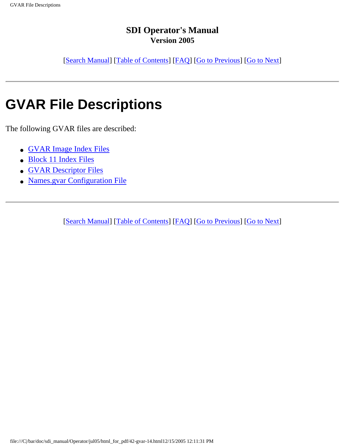[[Search Manual\]](file:///C|/bar/doc/sdi_manual/Operator/jul05/index.html) [\[Table of Contents\]](file:///C|/bar/doc/sdi_manual/Operator/jul05/html_for_pdf/index.html) [[FAQ\]](file:///C|/bar/doc/sdi_manual/Operator/jul05/html_for_pdf/appendixB.html) [[Go to Previous](file:///C|/bar/doc/sdi_manual/Operator/jul05/html_for_pdf/gvar-13.html)] [[Go to Next](file:///C|/bar/doc/sdi_manual/Operator/jul05/html_for_pdf/gvar-15.html)]

# **GVAR File Descriptions**

The following GVAR files are described:

- [GVAR Image Index Files](file:///C|/bar/doc/sdi_manual/Operator/jul05/html_for_pdf/gvar-15.html#26701)
- [Block 11 Index Files](file:///C|/bar/doc/sdi_manual/Operator/jul05/html_for_pdf/gvar-16.html#31838)
- [GVAR Descriptor Files](file:///C|/bar/doc/sdi_manual/Operator/jul05/html_for_pdf/gvar-17.html#37445)
- [Names.gvar Configuration File](file:///C|/bar/doc/sdi_manual/Operator/jul05/html_for_pdf/gvar-18.html#17576)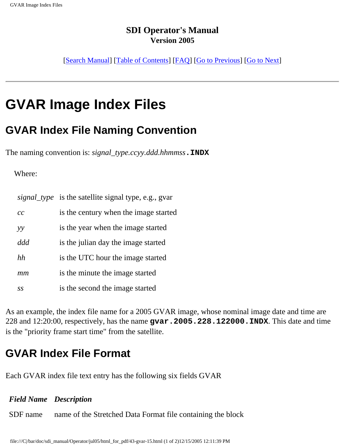[[Search Manual\]](file:///C|/bar/doc/sdi_manual/Operator/jul05/index.html) [\[Table of Contents\]](file:///C|/bar/doc/sdi_manual/Operator/jul05/html_for_pdf/index.html) [[FAQ\]](file:///C|/bar/doc/sdi_manual/Operator/jul05/html_for_pdf/appendixB.html) [[Go to Previous](file:///C|/bar/doc/sdi_manual/Operator/jul05/html_for_pdf/gvar-14.html)] [[Go to Next](file:///C|/bar/doc/sdi_manual/Operator/jul05/html_for_pdf/gvar-16.html)]

## **GVAR Image Index Files**

### **GVAR Index File Naming Convention**

The naming convention is: *signal\_type.ccyy.ddd.hhmmss***.INDX**

#### Where:

|     | <i>signal_type</i> is the satellite signal type, e.g., gvar |
|-----|-------------------------------------------------------------|
| cc  | is the century when the image started                       |
| yy  | is the year when the image started                          |
| ddd | is the julian day the image started                         |
| hh  | is the UTC hour the image started                           |
| mm  | is the minute the image started                             |
| SS  | is the second the image started                             |

As an example, the index file name for a 2005 GVAR image, whose nominal image date and time are 228 and 12:20:00, respectively, has the name **gvar.2005.228.122000.INDX**. This date and time is the "priority frame start time" from the satellite.

### **GVAR Index File Format**

Each GVAR index file text entry has the following six fields GVAR

### *Field Name Description* SDF name name of the Stretched Data Format file containing the block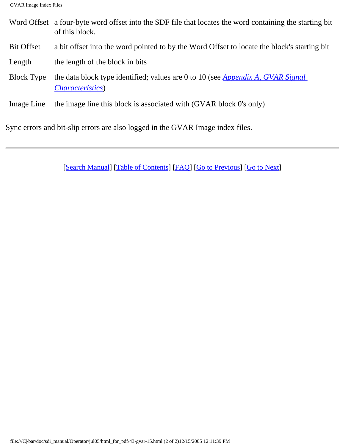- Word Offset a four-byte word offset into the SDF file that locates the word containing the starting bit of this block.
- Bit Offset a bit offset into the word pointed to by the Word Offset to locate the block's starting bit
- Length the length of the block in bits
- Block Type the data block type identified; values are 0 to 10 (see *[Appendix A, GVAR Signal](file:///C|/bar/doc/sdi_manual/Operator/jul05/html_for_pdf/appendixA-1.html#24283) [Characteristics](file:///C|/bar/doc/sdi_manual/Operator/jul05/html_for_pdf/appendixA-1.html#24283)*)
- Image Line the image line this block is associated with (GVAR block 0's only)

Sync errors and bit-slip errors are also logged in the GVAR Image index files.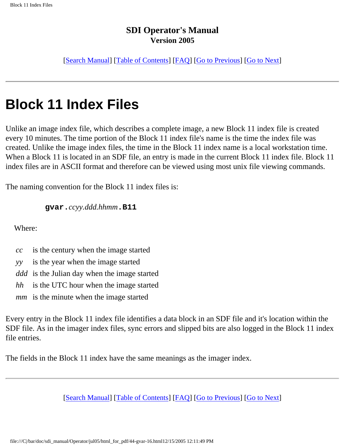[[Search Manual\]](file:///C|/bar/doc/sdi_manual/Operator/jul05/index.html) [\[Table of Contents\]](file:///C|/bar/doc/sdi_manual/Operator/jul05/html_for_pdf/index.html) [[FAQ\]](file:///C|/bar/doc/sdi_manual/Operator/jul05/html_for_pdf/appendixB.html) [[Go to Previous](file:///C|/bar/doc/sdi_manual/Operator/jul05/html_for_pdf/gvar-15.html)] [[Go to Next](file:///C|/bar/doc/sdi_manual/Operator/jul05/html_for_pdf/gvar-17.html)]

## **Block 11 Index Files**

Unlike an image index file, which describes a complete image, a new Block 11 index file is created every 10 minutes. The time portion of the Block 11 index file's name is the time the index file was created. Unlike the image index files, the time in the Block 11 index name is a local workstation time. When a Block 11 is located in an SDF file, an entry is made in the current Block 11 index file. Block 11 index files are in ASCII format and therefore can be viewed using most unix file viewing commands.

The naming convention for the Block 11 index files is:

**gvar.***ccyy.ddd.hhmm***.B11**

Where:

- *cc* is the century when the image started
- *yy* is the year when the image started
- *ddd* is the Julian day when the image started
- *hh* is the UTC hour when the image started
- *mm* is the minute when the image started

Every entry in the Block 11 index file identifies a data block in an SDF file and it's location within the SDF file. As in the imager index files, sync errors and slipped bits are also logged in the Block 11 index file entries.

The fields in the Block 11 index have the same meanings as the imager index.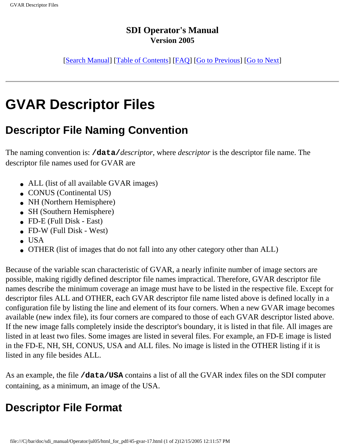[[Search Manual\]](file:///C|/bar/doc/sdi_manual/Operator/jul05/index.html) [\[Table of Contents\]](file:///C|/bar/doc/sdi_manual/Operator/jul05/html_for_pdf/index.html) [[FAQ\]](file:///C|/bar/doc/sdi_manual/Operator/jul05/html_for_pdf/appendixB.html) [[Go to Previous](file:///C|/bar/doc/sdi_manual/Operator/jul05/html_for_pdf/gvar-16.html)] [[Go to Next](file:///C|/bar/doc/sdi_manual/Operator/jul05/html_for_pdf/gvar-18.html)]

# **GVAR Descriptor Files**

### **Descriptor File Naming Convention**

The naming convention is: **/data/***descriptor*, where *descriptor* is the descriptor file name. The descriptor file names used for GVAR are

- ALL (list of all available GVAR images)
- CONUS (Continental US)
- NH (Northern Hemisphere)
- SH (Southern Hemisphere)
- $\bullet$  FD-E (Full Disk East)
- $\bullet$  FD-W (Full Disk West)
- $\bullet$  USA
- OTHER (list of images that do not fall into any other category other than ALL)

Because of the variable scan characteristic of GVAR, a nearly infinite number of image sectors are possible, making rigidly defined descriptor file names impractical. Therefore, GVAR descriptor file names describe the minimum coverage an image must have to be listed in the respective file. Except for descriptor files ALL and OTHER, each GVAR descriptor file name listed above is defined locally in a configuration file by listing the line and element of its four corners. When a new GVAR image becomes available (new index file), its four corners are compared to those of each GVAR descriptor listed above. If the new image falls completely inside the descriptor's boundary, it is listed in that file. All images are listed in at least two files. Some images are listed in several files. For example, an FD-E image is listed in the FD-E, NH, SH, CONUS, USA and ALL files. No image is listed in the OTHER listing if it is listed in any file besides ALL.

As an example, the file **/data/USA** contains a list of all the GVAR index files on the SDI computer containing, as a minimum, an image of the USA.

## **Descriptor File Format**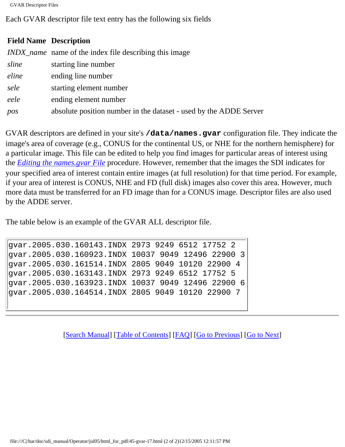```
GVAR Descriptor Files
```
Each GVAR descriptor file text entry has the following six fields

#### **Field Name Description**

|       | <i>INDX_name</i> name of the index file describing this image     |
|-------|-------------------------------------------------------------------|
| sline | starting line number                                              |
| eline | ending line number                                                |
| sele  | starting element number                                           |
| eele  | ending element number                                             |
| pos   | absolute position number in the dataset - used by the ADDE Server |

GVAR descriptors are defined in your site's **/data/names.gvar** configuration file. They indicate the image's area of coverage (e.g., CONUS for the continental US, or NHE for the northern hemisphere) for a particular image. This file can be edited to help you find images for particular areas of interest using the *[Editing the names.gvar File](file:///C|/bar/doc/sdi_manual/Operator/jul05/html_for_pdf/gvar-13.html#30802)* procedure. However, remember that the images the SDI indicates for your specified area of interest contain entire images (at full resolution) for that time period. For example, if your area of interest is CONUS, NHE and FD (full disk) images also cover this area. However, much more data must be transferred for an FD image than for a CONUS image. Descriptor files are also used by the ADDE server.

The table below is an example of the GVAR ALL descriptor file.

```
gvar.2005.030.160143.INDX 2973 9249 6512 17752 2
gvar.2005.030.160923.INDX 10037 9049 12496 22900 3
gvar.2005.030.161514.INDX 2805 9049 10120 22900 4
gvar.2005.030.163143.INDX 2973 9249 6512 17752 5
gvar.2005.030.163923.INDX 10037 9049 12496 22900 6
gvar.2005.030.164514.INDX 2805 9049 10120 22900 7
```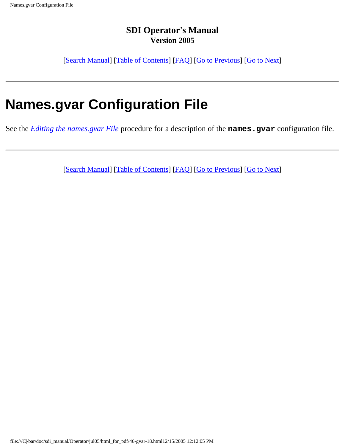[[Search Manual\]](file:///C|/bar/doc/sdi_manual/Operator/jul05/index.html) [\[Table of Contents\]](file:///C|/bar/doc/sdi_manual/Operator/jul05/html_for_pdf/index.html) [[FAQ\]](file:///C|/bar/doc/sdi_manual/Operator/jul05/html_for_pdf/appendixB.html) [[Go to Previous](file:///C|/bar/doc/sdi_manual/Operator/jul05/html_for_pdf/gvar-17.html)] [[Go to Next](file:///C|/bar/doc/sdi_manual/Operator/jul05/html_for_pdf/gvar-19.html)]

# **Names.gvar Configuration File**

See the *[Editing the names.gvar File](file:///C|/bar/doc/sdi_manual/Operator/jul05/html_for_pdf/gvar-13.html#30802)* procedure for a description of the **names.gvar** configuration file.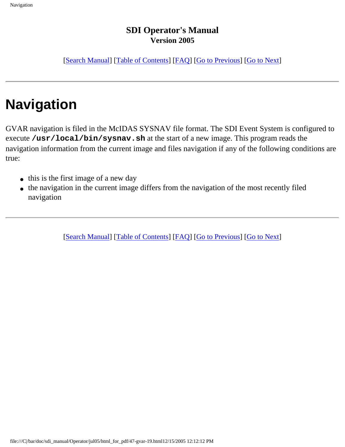[[Search Manual\]](file:///C|/bar/doc/sdi_manual/Operator/jul05/index.html) [\[Table of Contents\]](file:///C|/bar/doc/sdi_manual/Operator/jul05/html_for_pdf/index.html) [[FAQ\]](file:///C|/bar/doc/sdi_manual/Operator/jul05/html_for_pdf/appendixB.html) [[Go to Previous](file:///C|/bar/doc/sdi_manual/Operator/jul05/html_for_pdf/gvar-18.html)] [[Go to Next](file:///C|/bar/doc/sdi_manual/Operator/jul05/html_for_pdf/gvar-20.html)]

# **Navigation**

GVAR navigation is filed in the McIDAS SYSNAV file format. The SDI Event System is configured to execute **/usr/local/bin/sysnav.sh** at the start of a new image. This program reads the navigation information from the current image and files navigation if any of the following conditions are true:

- this is the first image of a new day
- the navigation in the current image differs from the navigation of the most recently filed navigation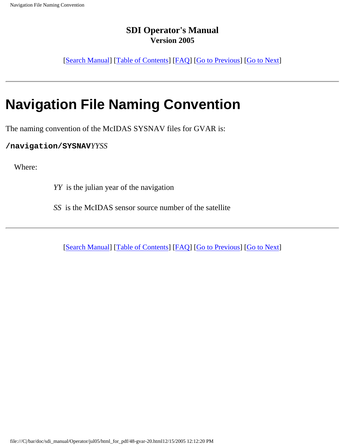[[Search Manual\]](file:///C|/bar/doc/sdi_manual/Operator/jul05/index.html) [\[Table of Contents\]](file:///C|/bar/doc/sdi_manual/Operator/jul05/html_for_pdf/index.html) [[FAQ\]](file:///C|/bar/doc/sdi_manual/Operator/jul05/html_for_pdf/appendixB.html) [[Go to Previous](file:///C|/bar/doc/sdi_manual/Operator/jul05/html_for_pdf/gvar-19.html)] [[Go to Next](file:///C|/bar/doc/sdi_manual/Operator/jul05/html_for_pdf/gvar-21.html)]

# **Navigation File Naming Convention**

The naming convention of the McIDAS SYSNAV files for GVAR is:

**/navigation/SYSNAV***YYSS*

Where:

*YY* is the julian year of the navigation

*SS* is the McIDAS sensor source number of the satellite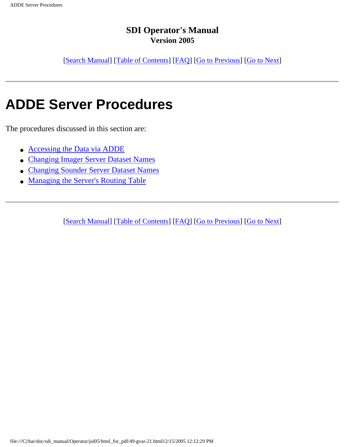[[Search Manual\]](file:///C|/bar/doc/sdi_manual/Operator/jul05/index.html) [\[Table of Contents\]](file:///C|/bar/doc/sdi_manual/Operator/jul05/html_for_pdf/index.html) [[FAQ\]](file:///C|/bar/doc/sdi_manual/Operator/jul05/html_for_pdf/appendixB.html) [[Go to Previous](file:///C|/bar/doc/sdi_manual/Operator/jul05/html_for_pdf/gvar-20.html)] [[Go to Next](file:///C|/bar/doc/sdi_manual/Operator/jul05/html_for_pdf/gvar-22.html)]

## **ADDE Server Procedures**

The procedures discussed in this section are:

- [Accessing the Data via ADDE](file:///C|/bar/doc/sdi_manual/Operator/jul05/html_for_pdf/gvar-22.html#14487)
- [Changing Imager Server Dataset Names](file:///C|/bar/doc/sdi_manual/Operator/jul05/html_for_pdf/gvar-23.html#39127)
- [Changing Sounder Server Dataset Names](file:///C|/bar/doc/sdi_manual/Operator/jul05/html_for_pdf/gvar-24.html#16868)
- [Managing the Server's Routing Table](file:///C|/bar/doc/sdi_manual/Operator/jul05/html_for_pdf/gvar-25.html#30171)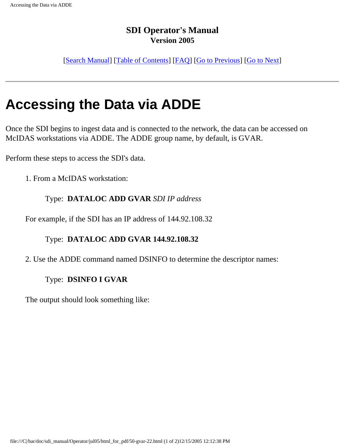[[Search Manual\]](file:///C|/bar/doc/sdi_manual/Operator/jul05/index.html) [\[Table of Contents\]](file:///C|/bar/doc/sdi_manual/Operator/jul05/html_for_pdf/index.html) [[FAQ\]](file:///C|/bar/doc/sdi_manual/Operator/jul05/html_for_pdf/appendixB.html) [[Go to Previous](file:///C|/bar/doc/sdi_manual/Operator/jul05/html_for_pdf/gvar-21.html)] [[Go to Next](file:///C|/bar/doc/sdi_manual/Operator/jul05/html_for_pdf/gvar-23.html)]

## **Accessing the Data via ADDE**

Once the SDI begins to ingest data and is connected to the network, the data can be accessed on McIDAS workstations via ADDE. The ADDE group name, by default, is GVAR.

Perform these steps to access the SDI's data.

1. From a McIDAS workstation:

#### Type: **DATALOC ADD GVAR** *SDI IP address*

For example, if the SDI has an IP address of 144.92.108.32

#### Type: **DATALOC ADD GVAR 144.92.108.32**

2. Use the ADDE command named DSINFO to determine the descriptor names:

#### Type: **DSINFO I GVAR**

The output should look something like: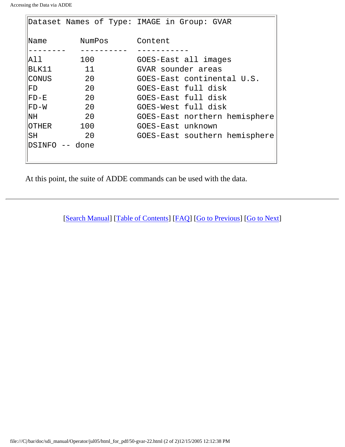```
Accessing the Data via ADDE
```

|                |        | Dataset Names of Type: IMAGE in Group: GVAR |
|----------------|--------|---------------------------------------------|
| Name           | NumPos | Content                                     |
|                |        |                                             |
| All.           | 100    | GOES-East all images                        |
| BLK11          | 11     | GVAR sounder areas                          |
| CONUS          | 20     | GOES-East continental U.S.                  |
| FD             | 20     | GOES-East full disk                         |
| FD-E           | 20     | GOES-East full disk                         |
| FD-W           | 20     | GOES-West full disk                         |
| NH             | 20     | GOES-East northern hemisphere               |
| OTHER          | 100    | GOES-East unknown                           |
| SH             | 20     | GOES-East southern hemisphere               |
| DSINFO -- done |        |                                             |
|                |        |                                             |

At this point, the suite of ADDE commands can be used with the data.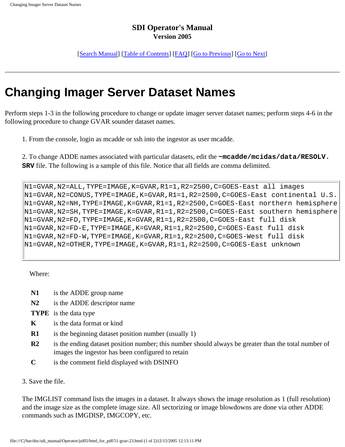[\[Search Manual](file:///C|/bar/doc/sdi_manual/Operator/jul05/index.html)] [\[Table of Contents\]](file:///C|/bar/doc/sdi_manual/Operator/jul05/html_for_pdf/index.html) [\[FAQ\]](file:///C|/bar/doc/sdi_manual/Operator/jul05/html_for_pdf/appendixB.html) [[Go to Previous](file:///C|/bar/doc/sdi_manual/Operator/jul05/html_for_pdf/gvar-22.html)] [[Go to Next\]](file:///C|/bar/doc/sdi_manual/Operator/jul05/html_for_pdf/gvar-24.html)

## **Changing Imager Server Dataset Names**

Perform steps 1-3 in the following procedure to change or update imager server dataset names; perform steps 4-6 in the following procedure to change GVAR sounder dataset names.

1. From the console, login as mcadde or ssh into the ingestor as user mcadde.

2. To change ADDE names associated with particular datasets, edit the **~mcadde/mcidas/data/RESOLV. SRV** file. The following is a sample of this file. Notice that all fields are comma delimited.

```
N1=GVAR, N2=ALL, TYPE=IMAGE, K=GVAR, R1=1, R2=2500, C=GOES-East all images
N1=GVAR,N2=CONUS,TYPE=IMAGE,K=GVAR,R1=1,R2=2500,C=GOES-East continental U.S.
N1=GVAR,N2=NH,TYPE=IMAGE,K=GVAR,R1=1,R2=2500,C=GOES-East northern hemisphere
N1=GVAR,N2=SH,TYPE=IMAGE,K=GVAR,R1=1,R2=2500,C=GOES-East southern hemisphere
N1=GVAR,N2=FD,TYPE=IMAGE,K=GVAR,R1=1,R2=2500,C=GOES-East full disk
N1=GVAR,N2=FD-E,TYPE=IMAGE,K=GVAR,R1=1,R2=2500,C=GOES-East full disk
N1=GVAR,N2=FD-W,TYPE=IMAGE,K=GVAR,R1=1,R2=2500,C=GOES-West full disk
N1=GVAR,N2=OTHER,TYPE=IMAGE,K=GVAR,R1=1,R2=2500,C=GOES-East unknown
```
Where:

- **N1** is the ADDE group name
- **N2** is the ADDE descriptor name
- **TYPE** is the data type
- **K** is the data format or kind
- **R1** is the beginning dataset position number (usually 1)
- **R2** is the ending dataset position number; this number should always be greater than the total number of images the ingestor has been configured to retain
- **C** is the comment field displayed with DSINFO
- 3. Save the file.

The IMGLIST command lists the images in a dataset. It always shows the image resolution as 1 (full resolution) and the image size as the complete image size. All sectorizing or image blowdowns are done via other ADDE commands such as IMGDISP, IMGCOPY, etc.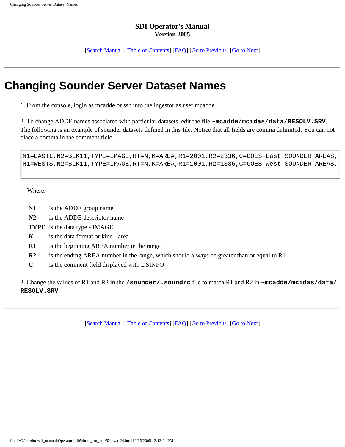[[Search Manual\]](file:///C|/bar/doc/sdi_manual/Operator/jul05/index.html) [\[Table of Contents](file:///C|/bar/doc/sdi_manual/Operator/jul05/html_for_pdf/index.html)] [[FAQ\]](file:///C|/bar/doc/sdi_manual/Operator/jul05/html_for_pdf/appendixB.html) [\[Go to Previous](file:///C|/bar/doc/sdi_manual/Operator/jul05/html_for_pdf/gvar-23.html)] [[Go to Next](file:///C|/bar/doc/sdi_manual/Operator/jul05/html_for_pdf/gvar-25.html)]

### **Changing Sounder Server Dataset Names**

1. From the console, login as mcadde or ssh into the ingestor as user mcadde.

2. To change ADDE names associated with particular datasets, edit the file **~mcadde/mcidas/data/RESOLV.SRV**. The following is an example of sounder datasets defined in this file. Notice that all fields are comma delimited. You can not place a comma in the comment field.

```
N1=EASTL,N2=BLK11,TYPE=IMAGE,RT=N,K=AREA,R1=2001,R2=2336,C=GOES-East SOUNDER AREAS,
N1=WESTS,N2=BLK11,TYPE=IMAGE,RT=N,K=AREA,R1=1001,R2=1336,C=GOES-West SOUNDER AREAS,
```
Where:

- **N1** is the ADDE group name
- **N2** is the ADDE descriptor name
- **TYPE** is the data type IMAGE
- **K** is the data format or kind area
- **R1** is the beginning AREA number in the range
- **R2** is the ending AREA number in the range, which should always be greater than or equal to R1
- **C** is the comment field displayed with DSINFO

3. Change the values of R1 and R2 in the **/sounder/.soundrc** file to match R1 and R2 in **~mcadde/mcidas/data/ RESOLV.SRV**.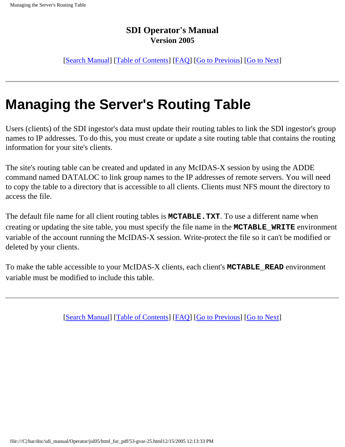[[Search Manual\]](file:///C|/bar/doc/sdi_manual/Operator/jul05/index.html) [\[Table of Contents\]](file:///C|/bar/doc/sdi_manual/Operator/jul05/html_for_pdf/index.html) [[FAQ\]](file:///C|/bar/doc/sdi_manual/Operator/jul05/html_for_pdf/appendixB.html) [[Go to Previous](file:///C|/bar/doc/sdi_manual/Operator/jul05/html_for_pdf/gvar-24.html)] [[Go to Next](file:///C|/bar/doc/sdi_manual/Operator/jul05/html_for_pdf/gvar-26.html)]

# **Managing the Server's Routing Table**

Users (clients) of the SDI ingestor's data must update their routing tables to link the SDI ingestor's group names to IP addresses. To do this, you must create or update a site routing table that contains the routing information for your site's clients.

The site's routing table can be created and updated in any McIDAS-X session by using the ADDE command named DATALOC to link group names to the IP addresses of remote servers. You will need to copy the table to a directory that is accessible to all clients. Clients must NFS mount the directory to access the file.

The default file name for all client routing tables is **MCTABLE.TXT**. To use a different name when creating or updating the site table, you must specify the file name in the **MCTABLE\_WRITE** environment variable of the account running the McIDAS-X session. Write-protect the file so it can't be modified or deleted by your clients.

To make the table accessible to your McIDAS-X clients, each client's **MCTABLE\_READ** environment variable must be modified to include this table.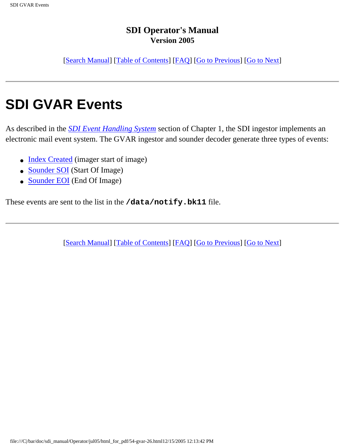[[Search Manual\]](file:///C|/bar/doc/sdi_manual/Operator/jul05/index.html) [\[Table of Contents\]](file:///C|/bar/doc/sdi_manual/Operator/jul05/html_for_pdf/index.html) [[FAQ\]](file:///C|/bar/doc/sdi_manual/Operator/jul05/html_for_pdf/appendixB.html) [[Go to Previous](file:///C|/bar/doc/sdi_manual/Operator/jul05/html_for_pdf/gvar-25.html)] [[Go to Next](file:///C|/bar/doc/sdi_manual/Operator/jul05/html_for_pdf/gvar-27.html)]

# **SDI GVAR Events**

As described in the *[SDI Event Handling System](file:///C|/bar/doc/sdi_manual/Operator/jul05/html_for_pdf/overview-12.html#40650)* section of Chapter 1, the SDI ingestor implements an electronic mail event system. The GVAR ingestor and sounder decoder generate three types of events:

- [Index Created](file:///C|/bar/doc/sdi_manual/Operator/jul05/html_for_pdf/gvar-27.html#30430) (imager start of image)
- [Sounder SOI](file:///C|/bar/doc/sdi_manual/Operator/jul05/html_for_pdf/gvar-28.html#15863) (Start Of Image)
- [Sounder EOI](file:///C|/bar/doc/sdi_manual/Operator/jul05/html_for_pdf/gvar-29.html#22353) (End Of Image)

These events are sent to the list in the **/data/notify.bk11** file.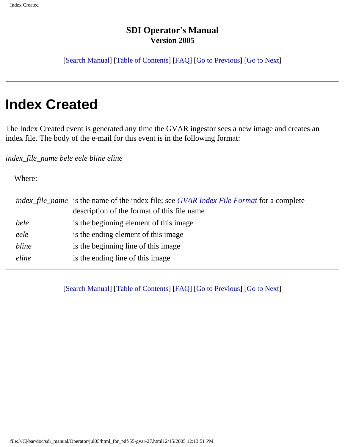[[Search Manual\]](file:///C|/bar/doc/sdi_manual/Operator/jul05/index.html) [\[Table of Contents\]](file:///C|/bar/doc/sdi_manual/Operator/jul05/html_for_pdf/index.html) [[FAQ\]](file:///C|/bar/doc/sdi_manual/Operator/jul05/html_for_pdf/appendixB.html) [[Go to Previous](file:///C|/bar/doc/sdi_manual/Operator/jul05/html_for_pdf/gvar-26.html)] [[Go to Next](file:///C|/bar/doc/sdi_manual/Operator/jul05/html_for_pdf/gvar-28.html)]

## **Index Created**

The Index Created event is generated any time the GVAR ingestor sees a new image and creates an index file. The body of the e-mail for this event is in the following format:

*index\_file\_name bele eele bline eline*

Where:

|       | <i>index_file_name</i> is the name of the index file; see <i>GVAR Index File Format</i> for a complete |  |
|-------|--------------------------------------------------------------------------------------------------------|--|
|       | description of the format of this file name                                                            |  |
| bele  | is the beginning element of this image                                                                 |  |
| eele  | is the ending element of this image.                                                                   |  |
| bline | is the beginning line of this image.                                                                   |  |
| eline | is the ending line of this image                                                                       |  |
|       |                                                                                                        |  |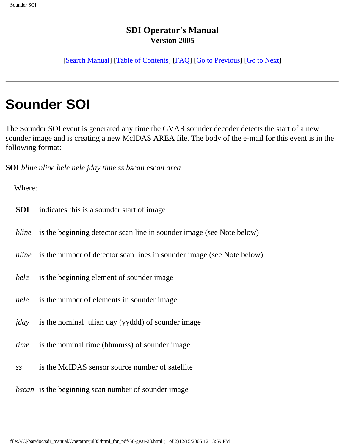[[Search Manual\]](file:///C|/bar/doc/sdi_manual/Operator/jul05/index.html) [\[Table of Contents\]](file:///C|/bar/doc/sdi_manual/Operator/jul05/html_for_pdf/index.html) [[FAQ\]](file:///C|/bar/doc/sdi_manual/Operator/jul05/html_for_pdf/appendixB.html) [[Go to Previous](file:///C|/bar/doc/sdi_manual/Operator/jul05/html_for_pdf/gvar-27.html)] [[Go to Next](file:///C|/bar/doc/sdi_manual/Operator/jul05/html_for_pdf/gvar-29.html)]

# **Sounder SOI**

The Sounder SOI event is generated any time the GVAR sounder decoder detects the start of a new sounder image and is creating a new McIDAS AREA file. The body of the e-mail for this event is in the following format:

**SOI** *bline nline bele nele jday time ss bscan escan area*

Where:

- **SOI** indicates this is a sounder start of image
- *bline* is the beginning detector scan line in sounder image (see Note below)
- *nline* is the number of detector scan lines in sounder image (see Note below)
- *bele* is the beginning element of sounder image
- *nele* is the number of elements in sounder image
- *jday* is the nominal julian day (yyddd) of sounder image
- *time* is the nominal time (hhmmss) of sounder image
- *ss* is the McIDAS sensor source number of satellite
- *bscan* is the beginning scan number of sounder image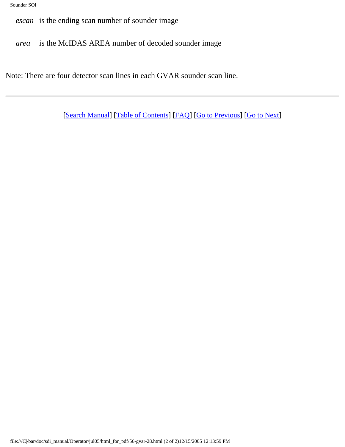*escan* is the ending scan number of sounder image

*area* is the McIDAS AREA number of decoded sounder image

Note: There are four detector scan lines in each GVAR sounder scan line.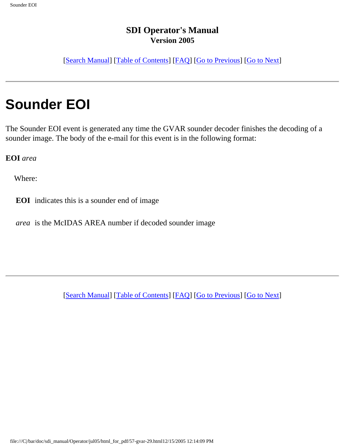[[Search Manual\]](file:///C|/bar/doc/sdi_manual/Operator/jul05/index.html) [\[Table of Contents\]](file:///C|/bar/doc/sdi_manual/Operator/jul05/html_for_pdf/index.html) [[FAQ\]](file:///C|/bar/doc/sdi_manual/Operator/jul05/html_for_pdf/appendixB.html) [[Go to Previous](file:///C|/bar/doc/sdi_manual/Operator/jul05/html_for_pdf/gvar-28.html)] [[Go to Next](file:///C|/bar/doc/sdi_manual/Operator/jul05/html_for_pdf/poes-1.html)]

# **Sounder EOI**

The Sounder EOI event is generated any time the GVAR sounder decoder finishes the decoding of a sounder image. The body of the e-mail for this event is in the following format:

**EOI** *area*

Where:

**EOI** indicates this is a sounder end of image

*area* is the McIDAS AREA number if decoded sounder image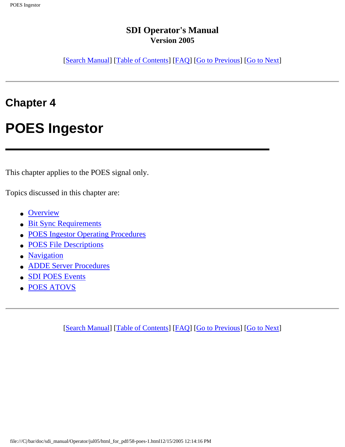[[Search Manual\]](file:///C|/bar/doc/sdi_manual/Operator/jul05/index.html) [\[Table of Contents\]](file:///C|/bar/doc/sdi_manual/Operator/jul05/html_for_pdf/index.html) [[FAQ\]](file:///C|/bar/doc/sdi_manual/Operator/jul05/html_for_pdf/appendixB.html) [[Go to Previous](file:///C|/bar/doc/sdi_manual/Operator/jul05/html_for_pdf/gvar-29.html)] [[Go to Next](file:///C|/bar/doc/sdi_manual/Operator/jul05/html_for_pdf/poes-2.html)]

## **Chapter 4**

# **POES Ingestor**

This chapter applies to the POES signal only.

Topics discussed in this chapter are:

- [Overview](file:///C|/bar/doc/sdi_manual/Operator/jul05/html_for_pdf/poes-3.html#74120)
- [Bit Sync Requirements](file:///C|/bar/doc/sdi_manual/Operator/jul05/html_for_pdf/poes-4.html#35288)
- [POES Ingestor Operating Procedures](file:///C|/bar/doc/sdi_manual/Operator/jul05/html_for_pdf/poes-5.html#41449)
- **[POES File Descriptions](file:///C|/bar/doc/sdi_manual/Operator/jul05/html_for_pdf/poes-11.html#26929)**
- [Navigation](file:///C|/bar/doc/sdi_manual/Operator/jul05/html_for_pdf/poes-14.html#35529)
- [ADDE Server Procedures](file:///C|/bar/doc/sdi_manual/Operator/jul05/html_for_pdf/poes-15.html#28537)
- [SDI POES Events](file:///C|/bar/doc/sdi_manual/Operator/jul05/html_for_pdf/poes-18.html#25147)
- [POES ATOVS](file:///C|/bar/doc/sdi_manual/Operator/jul05/html_for_pdf/poes-19.html#73342)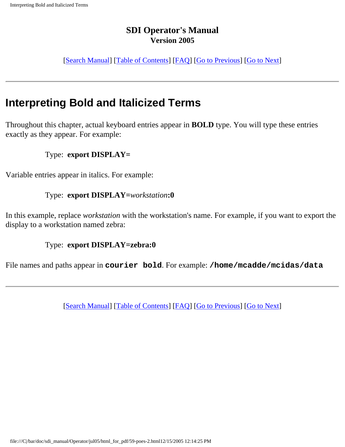[[Search Manual\]](file:///C|/bar/doc/sdi_manual/Operator/jul05/index.html) [\[Table of Contents\]](file:///C|/bar/doc/sdi_manual/Operator/jul05/html_for_pdf/index.html) [[FAQ\]](file:///C|/bar/doc/sdi_manual/Operator/jul05/html_for_pdf/appendixB.html) [[Go to Previous](file:///C|/bar/doc/sdi_manual/Operator/jul05/html_for_pdf/poes-1.html)] [[Go to Next](file:///C|/bar/doc/sdi_manual/Operator/jul05/html_for_pdf/poes-3.html)]

## **Interpreting Bold and Italicized Terms**

Throughout this chapter, actual keyboard entries appear in **BOLD** type. You will type these entries exactly as they appear. For example:

#### Type: **export DISPLAY=**

Variable entries appear in italics. For example:

#### Type: **export DISPLAY=***workstation***:0**

In this example, replace *workstation* with the workstation's name. For example, if you want to export the display to a workstation named zebra:

#### Type: **export DISPLAY=zebra:0**

File names and paths appear in **courier bold**. For example: **/home/mcadde/mcidas/data**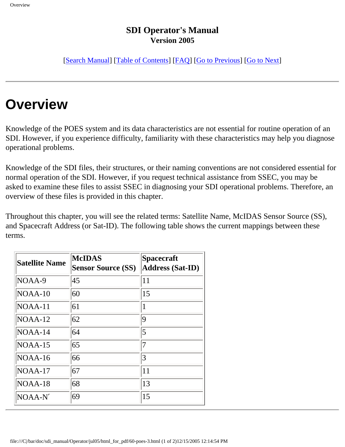[[Search Manual\]](file:///C|/bar/doc/sdi_manual/Operator/jul05/index.html) [\[Table of Contents\]](file:///C|/bar/doc/sdi_manual/Operator/jul05/html_for_pdf/index.html) [[FAQ\]](file:///C|/bar/doc/sdi_manual/Operator/jul05/html_for_pdf/appendixB.html) [[Go to Previous](file:///C|/bar/doc/sdi_manual/Operator/jul05/html_for_pdf/poes-2.html)] [[Go to Next](file:///C|/bar/doc/sdi_manual/Operator/jul05/html_for_pdf/poes-4.html)]

# **Overview**

Knowledge of the POES system and its data characteristics are not essential for routine operation of an SDI. However, if you experience difficulty, familiarity with these characteristics may help you diagnose operational problems.

Knowledge of the SDI files, their structures, or their naming conventions are not considered essential for normal operation of the SDI. However, if you request technical assistance from SSEC, you may be asked to examine these files to assist SSEC in diagnosing your SDI operational problems. Therefore, an overview of these files is provided in this chapter.

Throughout this chapter, you will see the related terms: Satellite Name, McIDAS Sensor Source (SS), and Spacecraft Address (or Sat-ID). The following table shows the current mappings between these terms.

| <b>Satellite Name</b> | <b>McIDAS</b><br><b>Sensor Source (SS)</b> | <b>Spacecraft</b><br><b>Address (Sat-ID)</b> |  |  |
|-----------------------|--------------------------------------------|----------------------------------------------|--|--|
| NOAA-9                | 45                                         | 11                                           |  |  |
| $NOAA-10$             | 60                                         | 15                                           |  |  |
| NOAA-11               | 61                                         | 1                                            |  |  |
| $NOAA-12$             | 62                                         | 9                                            |  |  |
| $NOAA-14$             | 64                                         | 5                                            |  |  |
| $NOAA-15$             | 65                                         | 7                                            |  |  |
| $NOAA-16$             | 66                                         | 3                                            |  |  |
| $NOAA-17$             | 67                                         | 11                                           |  |  |
| NOAA-18               | 68                                         | 13                                           |  |  |
| NOAA-N'               | 69                                         | 15                                           |  |  |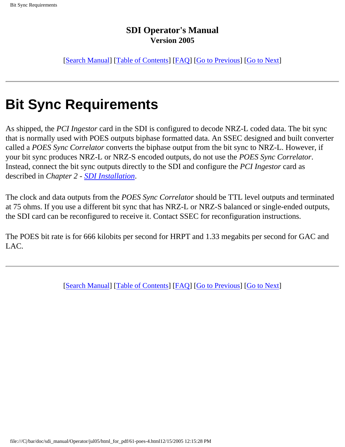[[Search Manual\]](file:///C|/bar/doc/sdi_manual/Operator/jul05/index.html) [\[Table of Contents\]](file:///C|/bar/doc/sdi_manual/Operator/jul05/html_for_pdf/index.html) [[FAQ\]](file:///C|/bar/doc/sdi_manual/Operator/jul05/html_for_pdf/appendixB.html) [[Go to Previous](file:///C|/bar/doc/sdi_manual/Operator/jul05/html_for_pdf/poes-3.html)] [[Go to Next](file:///C|/bar/doc/sdi_manual/Operator/jul05/html_for_pdf/poes-5.html)]

# **Bit Sync Requirements**

As shipped, the *PCI Ingestor* card in the SDI is configured to decode NRZ-L coded data. The bit sync that is normally used with POES outputs biphase formatted data. An SSEC designed and built converter called a *POES Sync Correlator* converts the biphase output from the bit sync to NRZ-L. However, if your bit sync produces NRZ-L or NRZ-S encoded outputs, do not use the *POES Sync Correlator*. Instead, connect the bit sync outputs directly to the SDI and configure the *PCI Ingestor* card as described in *Chapter 2 - [SDI Installation](file:///C|/bar/doc/sdi_manual/Operator/jul05/html_for_pdf/install-1.html#34212)*.

The clock and data outputs from the *POES Sync Correlator* should be TTL level outputs and terminated at 75 ohms. If you use a different bit sync that has NRZ-L or NRZ-S balanced or single-ended outputs, the SDI card can be reconfigured to receive it. Contact SSEC for reconfiguration instructions.

The POES bit rate is for 666 kilobits per second for HRPT and 1.33 megabits per second for GAC and LAC.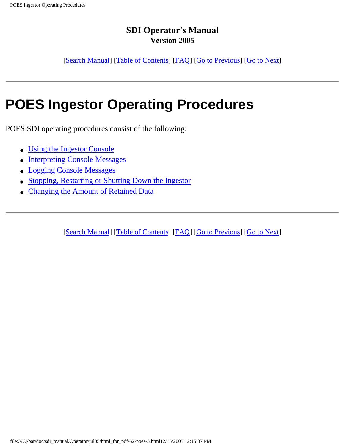[[Search Manual\]](file:///C|/bar/doc/sdi_manual/Operator/jul05/index.html) [\[Table of Contents\]](file:///C|/bar/doc/sdi_manual/Operator/jul05/html_for_pdf/index.html) [[FAQ\]](file:///C|/bar/doc/sdi_manual/Operator/jul05/html_for_pdf/appendixB.html) [[Go to Previous](file:///C|/bar/doc/sdi_manual/Operator/jul05/html_for_pdf/poes-4.html)] [[Go to Next](file:///C|/bar/doc/sdi_manual/Operator/jul05/html_for_pdf/poes-6.html)]

# **POES Ingestor Operating Procedures**

POES SDI operating procedures consist of the following:

- [Using the Ingestor Console](file:///C|/bar/doc/sdi_manual/Operator/jul05/html_for_pdf/poes-6.html#16901)
- [Interpreting Console Messages](file:///C|/bar/doc/sdi_manual/Operator/jul05/html_for_pdf/poes-7.html#41648)
- [Logging Console Messages](file:///C|/bar/doc/sdi_manual/Operator/jul05/html_for_pdf/poes-8.html#15032)
- [Stopping, Restarting or Shutting Down the Ingestor](file:///C|/bar/doc/sdi_manual/Operator/jul05/html_for_pdf/poes-9.html#31958)
- **[Changing the Amount of Retained Data](file:///C|/bar/doc/sdi_manual/Operator/jul05/html_for_pdf/poes-10.html#31059)**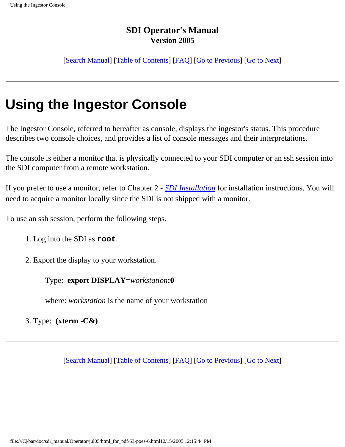[[Search Manual\]](file:///C|/bar/doc/sdi_manual/Operator/jul05/index.html) [\[Table of Contents\]](file:///C|/bar/doc/sdi_manual/Operator/jul05/html_for_pdf/index.html) [[FAQ\]](file:///C|/bar/doc/sdi_manual/Operator/jul05/html_for_pdf/appendixB.html) [[Go to Previous](file:///C|/bar/doc/sdi_manual/Operator/jul05/html_for_pdf/poes-5.html)] [[Go to Next](file:///C|/bar/doc/sdi_manual/Operator/jul05/html_for_pdf/poes-7.html)]

# **Using the Ingestor Console**

The Ingestor Console, referred to hereafter as console, displays the ingestor's status. This procedure describes two console choices, and provides a list of console messages and their interpretations.

The console is either a monitor that is physically connected to your SDI computer or an ssh session into the SDI computer from a remote workstation.

If you prefer to use a monitor, refer to Chapter 2 - *[SDI Installation](file:///C|/bar/doc/sdi_manual/Operator/jul05/html_for_pdf/install-1.html#34212)* for installation instructions. You will need to acquire a monitor locally since the SDI is not shipped with a monitor.

To use an ssh session, perform the following steps.

- 1. Log into the SDI as **root**.
- 2. Export the display to your workstation.

Type: **export DISPLAY=***workstation***:0**

where: *workstation* is the name of your workstation

3. Type: **(xterm -C&)**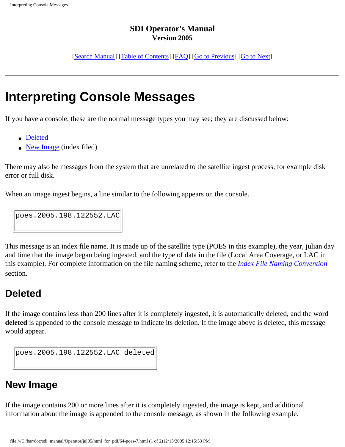[\[Search Manual\]](file:///C|/bar/doc/sdi_manual/Operator/jul05/index.html) [[Table of Contents\]](file:///C|/bar/doc/sdi_manual/Operator/jul05/html_for_pdf/index.html) [\[FAQ](file:///C|/bar/doc/sdi_manual/Operator/jul05/html_for_pdf/appendixB.html)] [\[Go to Previous](file:///C|/bar/doc/sdi_manual/Operator/jul05/html_for_pdf/poes-6.html)] [\[Go to Next\]](file:///C|/bar/doc/sdi_manual/Operator/jul05/html_for_pdf/poes-8.html)

## **Interpreting Console Messages**

If you have a console, these are the normal message types you may see; they are discussed below:

- [Deleted](file:///C|/bar/doc/sdi_manual/Operator/jul05/html_for_pdf/poes-7.html#24324)
- [New Image](file:///C|/bar/doc/sdi_manual/Operator/jul05/html_for_pdf/poes-7.html#26872) (index filed)

There may also be messages from the system that are unrelated to the satellite ingest process, for example disk error or full disk.

When an image ingest begins, a line similar to the following appears on the console.

poes.2005.198.122552.LAC

This message is an index file name. It is made up of the satellite type (POES in this example), the year, julian day and time that the image began being ingested, and the type of data in the file (Local Area Coverage, or LAC in this example). For complete information on the file naming scheme, refer to the *[Index File Naming Convention](file:///C|/bar/doc/sdi_manual/Operator/jul05/html_for_pdf/poes-12.html#42130)* section.

## **Deleted**

If the image contains less than 200 lines after it is completely ingested, it is automatically deleted, and the word **deleted** is appended to the console message to indicate its deletion. If the image above is deleted, this message would appear.

```
poes.2005.198.122552.LAC deleted
```
## **New Image**

If the image contains 200 or more lines after it is completely ingested, the image is kept, and additional information about the image is appended to the console message, as shown in the following example.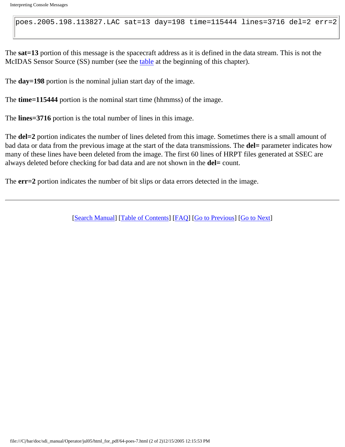poes.2005.198.113827.LAC sat=13 day=198 time=115444 lines=3716 del=2 err=2

The **sat=13** portion of this message is the spacecraft address as it is defined in the data stream. This is not the McIDAS Sensor Source (SS) number (see the [table](file:///C|/bar/doc/sdi_manual/Operator/jul05/html_for_pdf/poes-3.html#35162) at the beginning of this chapter).

The **day=198** portion is the nominal julian start day of the image.

The **time=115444** portion is the nominal start time (hhmmss) of the image.

The **lines=3716** portion is the total number of lines in this image.

The **del**=2 portion indicates the number of lines deleted from this image. Sometimes there is a small amount of bad data or data from the previous image at the start of the data transmissions. The **del=** parameter indicates how many of these lines have been deleted from the image. The first 60 lines of HRPT files generated at SSEC are always deleted before checking for bad data and are not shown in the **del=** count.

The **err=2** portion indicates the number of bit slips or data errors detected in the image.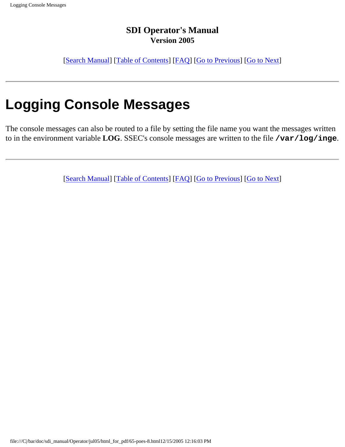[[Search Manual\]](file:///C|/bar/doc/sdi_manual/Operator/jul05/index.html) [\[Table of Contents\]](file:///C|/bar/doc/sdi_manual/Operator/jul05/html_for_pdf/index.html) [[FAQ\]](file:///C|/bar/doc/sdi_manual/Operator/jul05/html_for_pdf/appendixB.html) [[Go to Previous](file:///C|/bar/doc/sdi_manual/Operator/jul05/html_for_pdf/poes-7.html)] [[Go to Next](file:///C|/bar/doc/sdi_manual/Operator/jul05/html_for_pdf/poes-9.html)]

# **Logging Console Messages**

The console messages can also be routed to a file by setting the file name you want the messages written to in the environment variable **LOG**. SSEC's console messages are written to the file **/var/log/inge**.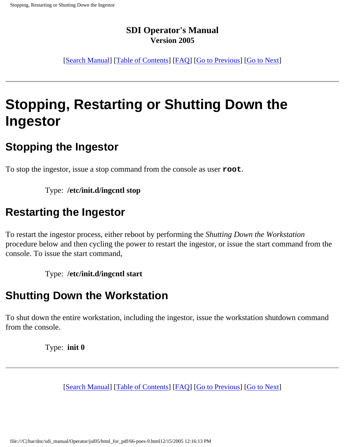[[Search Manual\]](file:///C|/bar/doc/sdi_manual/Operator/jul05/index.html) [\[Table of Contents\]](file:///C|/bar/doc/sdi_manual/Operator/jul05/html_for_pdf/index.html) [[FAQ\]](file:///C|/bar/doc/sdi_manual/Operator/jul05/html_for_pdf/appendixB.html) [[Go to Previous](file:///C|/bar/doc/sdi_manual/Operator/jul05/html_for_pdf/poes-8.html)] [[Go to Next](file:///C|/bar/doc/sdi_manual/Operator/jul05/html_for_pdf/poes-10.html)]

# **Stopping, Restarting or Shutting Down the Ingestor**

## **Stopping the Ingestor**

To stop the ingestor, issue a stop command from the console as user **root**.

Type: **/etc/init.d/ingcntl stop**

## **Restarting the Ingestor**

To restart the ingestor process, either reboot by performing the *Shutting Down the Workstation* procedure below and then cycling the power to restart the ingestor, or issue the start command from the console. To issue the start command,

Type: **/etc/init.d/ingcntl start**

## **Shutting Down the Workstation**

To shut down the entire workstation, including the ingestor, issue the workstation shutdown command from the console.

Type: **init 0**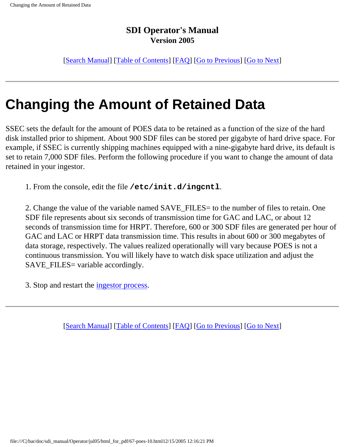[[Search Manual\]](file:///C|/bar/doc/sdi_manual/Operator/jul05/index.html) [\[Table of Contents\]](file:///C|/bar/doc/sdi_manual/Operator/jul05/html_for_pdf/index.html) [[FAQ\]](file:///C|/bar/doc/sdi_manual/Operator/jul05/html_for_pdf/appendixB.html) [[Go to Previous](file:///C|/bar/doc/sdi_manual/Operator/jul05/html_for_pdf/poes-9.html)] [[Go to Next](file:///C|/bar/doc/sdi_manual/Operator/jul05/html_for_pdf/poes-11.html)]

# **Changing the Amount of Retained Data**

SSEC sets the default for the amount of POES data to be retained as a function of the size of the hard disk installed prior to shipment. About 900 SDF files can be stored per gigabyte of hard drive space. For example, if SSEC is currently shipping machines equipped with a nine-gigabyte hard drive, its default is set to retain 7,000 SDF files. Perform the following procedure if you want to change the amount of data retained in your ingestor.

1. From the console, edit the file **/etc/init.d/ingcntl**.

2. Change the value of the variable named SAVE\_FILES= to the number of files to retain. One SDF file represents about six seconds of transmission time for GAC and LAC, or about 12 seconds of transmission time for HRPT. Therefore, 600 or 300 SDF files are generated per hour of GAC and LAC or HRPT data transmission time. This results in about 600 or 300 megabytes of data storage, respectively. The values realized operationally will vary because POES is not a continuous transmission. You will likely have to watch disk space utilization and adjust the SAVE\_FILES= variable accordingly.

3. Stop and restart the [ingestor process.](file:///C|/bar/doc/sdi_manual/Operator/jul05/html_for_pdf/poes-9.html)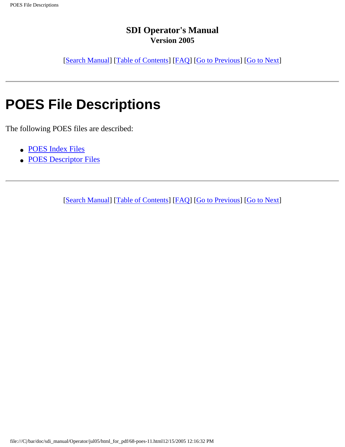[[Search Manual\]](file:///C|/bar/doc/sdi_manual/Operator/jul05/index.html) [\[Table of Contents\]](file:///C|/bar/doc/sdi_manual/Operator/jul05/html_for_pdf/index.html) [[FAQ\]](file:///C|/bar/doc/sdi_manual/Operator/jul05/html_for_pdf/appendixB.html) [[Go to Previous](file:///C|/bar/doc/sdi_manual/Operator/jul05/html_for_pdf/poes-10.html)] [[Go to Next](file:///C|/bar/doc/sdi_manual/Operator/jul05/html_for_pdf/poes-12.html)]

# **POES File Descriptions**

The following POES files are described:

- [POES Index Files](file:///C|/bar/doc/sdi_manual/Operator/jul05/html_for_pdf/poes-12.html#15846)
- [POES Descriptor Files](file:///C|/bar/doc/sdi_manual/Operator/jul05/html_for_pdf/poes-13.html#24113)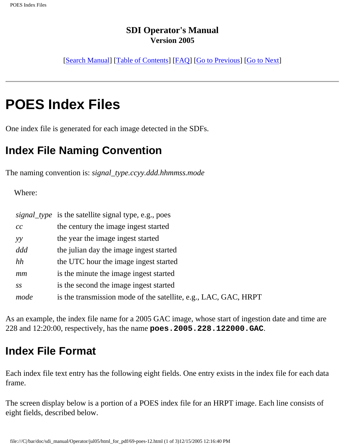[[Search Manual\]](file:///C|/bar/doc/sdi_manual/Operator/jul05/index.html) [\[Table of Contents\]](file:///C|/bar/doc/sdi_manual/Operator/jul05/html_for_pdf/index.html) [[FAQ\]](file:///C|/bar/doc/sdi_manual/Operator/jul05/html_for_pdf/appendixB.html) [[Go to Previous](file:///C|/bar/doc/sdi_manual/Operator/jul05/html_for_pdf/poes-11.html)] [[Go to Next](file:///C|/bar/doc/sdi_manual/Operator/jul05/html_for_pdf/poes-13.html)]

# **POES Index Files**

One index file is generated for each image detected in the SDFs.

## **Index File Naming Convention**

The naming convention is: *signal\_type.ccyy.ddd.hhmmss.mode*

Where:

|      | <i>signal_type</i> is the satellite signal type, e.g., poes     |
|------|-----------------------------------------------------------------|
| cc   | the century the image ingest started                            |
| yy   | the year the image ingest started                               |
| ddd  | the julian day the image ingest started                         |
| hh   | the UTC hour the image ingest started                           |
| mm   | is the minute the image ingest started                          |
| SS   | is the second the image ingest started                          |
| mode | is the transmission mode of the satellite, e.g., LAC, GAC, HRPT |

As an example, the index file name for a 2005 GAC image, whose start of ingestion date and time are 228 and 12:20:00, respectively, has the name **poes.2005.228.122000.GAC**.

## **Index File Format**

Each index file text entry has the following eight fields. One entry exists in the index file for each data frame.

The screen display below is a portion of a POES index file for an HRPT image. Each line consists of eight fields, described below.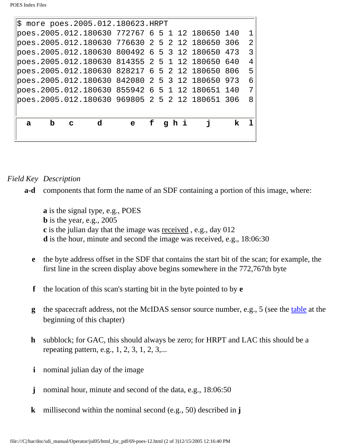|   |   |   | $\vert$ \$ more poes.2005.012.180623.HRPT       |             |   |  |       |     |                |
|---|---|---|-------------------------------------------------|-------------|---|--|-------|-----|----------------|
|   |   |   | poes.2005.012.180630 772767 6 5 1 12 180650 140 |             |   |  |       |     |                |
|   |   |   | poes.2005.012.180630 776630 2 5 2 12 180650 306 |             |   |  |       |     | $\overline{2}$ |
|   |   |   | poes.2005.012.180630 800492 6 5 3 12 180650     |             |   |  |       | 473 | 3              |
|   |   |   | poes.2005.012.180630 814355 2 5 1 12 180650 640 |             |   |  |       |     | 4              |
|   |   |   | poes.2005.012.180630 828217 6 5 2 12 180650 806 |             |   |  |       |     | 5              |
|   |   |   | poes.2005.012.180630 842080 2 5 3 12 180650 973 |             |   |  |       |     | 6              |
|   |   |   | poes.2005.012.180630 855942 6 5 1 12 180651 140 |             |   |  |       |     | 7              |
|   |   |   |                                                 |             |   |  |       |     | 8              |
|   |   |   |                                                 |             |   |  |       |     |                |
| a | b | C | d                                               | $\mathbf e$ | f |  | ghi i | k.  |                |
|   |   |   |                                                 |             |   |  |       |     |                |
|   |   |   |                                                 |             |   |  |       |     |                |

#### *Field Key Description*

**a-d** components that form the name of an SDF containing a portion of this image, where:

**a** is the signal type, e.g., POES **b** is the year, e.g., 2005 **c** is the julian day that the image was received , e.g., day 012 **d** is the hour, minute and second the image was received, e.g., 18:06:30

- **e** the byte address offset in the SDF that contains the start bit of the scan; for example, the first line in the screen display above begins somewhere in the 772,767th byte
- **f** the location of this scan's starting bit in the byte pointed to by **e**
- **g** the spacecraft address, not the McIDAS sensor source number, e.g., 5 (see the [table](file:///C|/bar/doc/sdi_manual/Operator/jul05/html_for_pdf/poes-3.html#35162) at the beginning of this chapter)
- **h** subblock; for GAC, this should always be zero; for HRPT and LAC this should be a repeating pattern, e.g., 1, 2, 3, 1, 2, 3,...
- **i** nominal julian day of the image
- **j** nominal hour, minute and second of the data, e.g., 18:06:50
- **k** millisecond within the nominal second (e.g., 50) described in **j**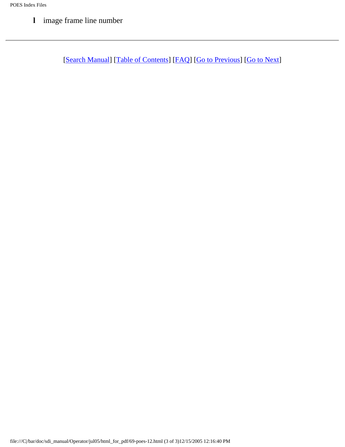**l** image frame line number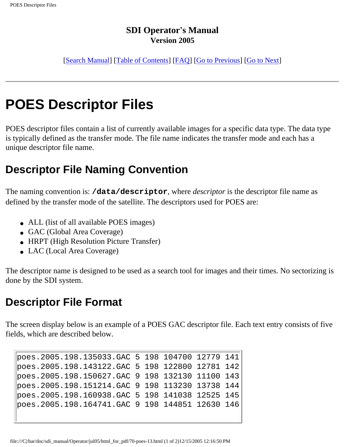[[Search Manual\]](file:///C|/bar/doc/sdi_manual/Operator/jul05/index.html) [\[Table of Contents\]](file:///C|/bar/doc/sdi_manual/Operator/jul05/html_for_pdf/index.html) [[FAQ\]](file:///C|/bar/doc/sdi_manual/Operator/jul05/html_for_pdf/appendixB.html) [[Go to Previous](file:///C|/bar/doc/sdi_manual/Operator/jul05/html_for_pdf/poes-12.html)] [[Go to Next](file:///C|/bar/doc/sdi_manual/Operator/jul05/html_for_pdf/poes-14.html)]

# **POES Descriptor Files**

POES descriptor files contain a list of currently available images for a specific data type. The data type is typically defined as the transfer mode. The file name indicates the transfer mode and each has a unique descriptor file name.

## **Descriptor File Naming Convention**

The naming convention is: **/data/descriptor**, where *descriptor* is the descriptor file name as defined by the transfer mode of the satellite. The descriptors used for POES are:

- ALL (list of all available POES images)
- GAC (Global Area Coverage)
- HRPT (High Resolution Picture Transfer)
- LAC (Local Area Coverage)

The descriptor name is designed to be used as a search tool for images and their times. No sectorizing is done by the SDI system.

## **Descriptor File Format**

The screen display below is an example of a POES GAC descriptor file. Each text entry consists of five fields, which are described below.

poes.2005.198.135033.GAC 5 198 104700 12779 141 poes.2005.198.143122.GAC 5 198 122800 12781 142 poes.2005.198.150627.GAC 9 198 132130 11100 143 poes.2005.198.151214.GAC 9 198 113230 13738 144 poes.2005.198.160938.GAC 5 198 141038 12525 145 poes.2005.198.164741.GAC 9 198 144851 12630 146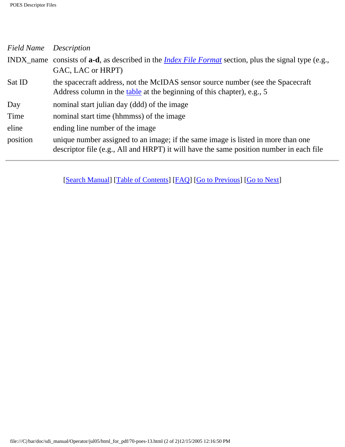#### POES Descriptor Files

| <b>Field Name</b> Description |                                                                                                                                                                             |
|-------------------------------|-----------------------------------------------------------------------------------------------------------------------------------------------------------------------------|
|                               | INDX_name consists of <b>a-d</b> , as described in the <i>Index File Format</i> section, plus the signal type (e.g.,                                                        |
|                               | GAC, LAC or HRPT)                                                                                                                                                           |
| Sat ID                        | the spacecraft address, not the McIDAS sensor source number (see the Spacecraft<br>Address column in the table at the beginning of this chapter), e.g., 5                   |
| Day                           | nominal start julian day (ddd) of the image                                                                                                                                 |
| Time                          | nominal start time (hhmmss) of the image                                                                                                                                    |
| eline                         | ending line number of the image                                                                                                                                             |
| position                      | unique number assigned to an image; if the same image is listed in more than one<br>descriptor file (e.g., All and HRPT) it will have the same position number in each file |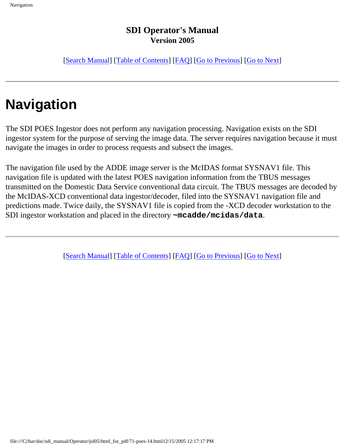[[Search Manual\]](file:///C|/bar/doc/sdi_manual/Operator/jul05/index.html) [\[Table of Contents\]](file:///C|/bar/doc/sdi_manual/Operator/jul05/html_for_pdf/index.html) [[FAQ\]](file:///C|/bar/doc/sdi_manual/Operator/jul05/html_for_pdf/appendixB.html) [[Go to Previous](file:///C|/bar/doc/sdi_manual/Operator/jul05/html_for_pdf/poes-13.html)] [[Go to Next](file:///C|/bar/doc/sdi_manual/Operator/jul05/html_for_pdf/poes-15.html)]

# **Navigation**

The SDI POES Ingestor does not perform any navigation processing. Navigation exists on the SDI ingestor system for the purpose of serving the image data. The server requires navigation because it must navigate the images in order to process requests and subsect the images.

The navigation file used by the ADDE image server is the McIDAS format SYSNAV1 file. This navigation file is updated with the latest POES navigation information from the TBUS messages transmitted on the Domestic Data Service conventional data circuit. The TBUS messages are decoded by the McIDAS-XCD conventional data ingestor/decoder, filed into the SYSNAV1 navigation file and predictions made. Twice daily, the SYSNAV1 file is copied from the -XCD decoder workstation to the SDI ingestor workstation and placed in the directory **~mcadde/mcidas/data**.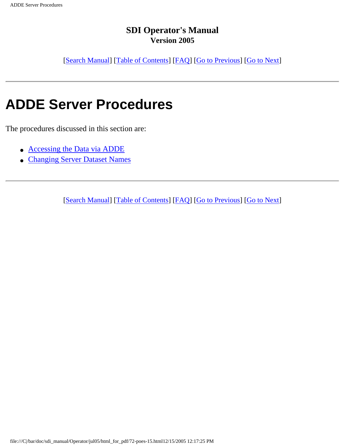[[Search Manual\]](file:///C|/bar/doc/sdi_manual/Operator/jul05/index.html) [\[Table of Contents\]](file:///C|/bar/doc/sdi_manual/Operator/jul05/html_for_pdf/index.html) [[FAQ\]](file:///C|/bar/doc/sdi_manual/Operator/jul05/html_for_pdf/appendixB.html) [[Go to Previous](file:///C|/bar/doc/sdi_manual/Operator/jul05/html_for_pdf/poes-14.html)] [[Go to Next](file:///C|/bar/doc/sdi_manual/Operator/jul05/html_for_pdf/poes-16.html)]

# **ADDE Server Procedures**

The procedures discussed in this section are:

- [Accessing the Data via ADDE](file:///C|/bar/doc/sdi_manual/Operator/jul05/html_for_pdf/poes-16.html#30885)
- [Changing Server Dataset Names](file:///C|/bar/doc/sdi_manual/Operator/jul05/html_for_pdf/poes-17.html#31168)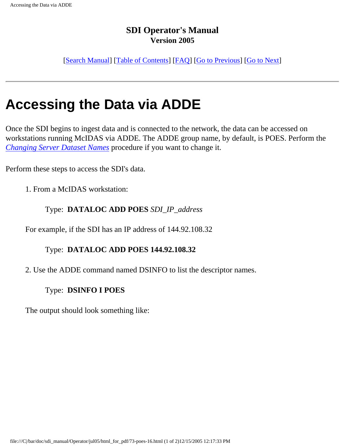[[Search Manual\]](file:///C|/bar/doc/sdi_manual/Operator/jul05/index.html) [\[Table of Contents\]](file:///C|/bar/doc/sdi_manual/Operator/jul05/html_for_pdf/index.html) [[FAQ\]](file:///C|/bar/doc/sdi_manual/Operator/jul05/html_for_pdf/appendixB.html) [[Go to Previous](file:///C|/bar/doc/sdi_manual/Operator/jul05/html_for_pdf/poes-15.html)] [[Go to Next](file:///C|/bar/doc/sdi_manual/Operator/jul05/html_for_pdf/poes-17.html)]

# **Accessing the Data via ADDE**

Once the SDI begins to ingest data and is connected to the network, the data can be accessed on workstations running McIDAS via ADDE. The ADDE group name, by default, is POES. Perform the *[Changing Server Dataset Names](file:///C|/bar/doc/sdi_manual/Operator/jul05/html_for_pdf/poes-17.html#31168)* procedure if you want to change it.

Perform these steps to access the SDI's data.

1. From a McIDAS workstation:

#### Type: **DATALOC ADD POES** *SDI\_IP\_address*

For example, if the SDI has an IP address of 144.92.108.32

#### Type: **DATALOC ADD POES 144.92.108.32**

2. Use the ADDE command named DSINFO to list the descriptor names.

#### Type: **DSINFO I POES**

The output should look something like: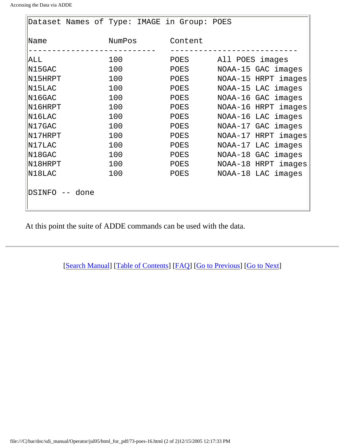| Dataset Names of Type: IMAGE in Group: POES |      |     |        |                     |                     |                     |
|---------------------------------------------|------|-----|--------|---------------------|---------------------|---------------------|
| Name                                        |      |     | NumPos |                     | Content             |                     |
| ALL                                         |      |     | 100    |                     | POES                | All POES images     |
| N15GAC                                      |      |     | 100    |                     | POES                | NOAA-15 GAC images  |
| N15HRPT                                     | 100  |     | POES   | NOAA-15 HRPT images |                     |                     |
| N15LAC                                      |      |     | 100    |                     | POES                | NOAA-15 LAC images  |
| N16GAC                                      |      |     | 100    |                     | POES                | NOAA-16 GAC images  |
| N16HRPT                                     |      |     | 100    |                     | POES                | NOAA-16 HRPT images |
| N16LAC                                      |      |     | 100    |                     | POES                | NOAA-16 LAC images  |
| N17GAC                                      |      |     | 100    |                     | POES                | NOAA-17 GAC images  |
| N17HRPT                                     |      | 100 |        | POES                | NOAA-17 HRPT images |                     |
| N17LAC                                      |      |     | 100    |                     | POES                | NOAA-17 LAC images  |
| N18GAC                                      |      |     | 100    |                     | POES                | NOAA-18 GAC images  |
| N18HRPT                                     |      |     | 100    |                     | POES                | NOAA-18 HRPT images |
| N18LAC                                      |      |     | 100    |                     | POES                | NOAA-18 LAC images  |
| DSINFO --                                   | done |     |        |                     |                     |                     |

At this point the suite of ADDE commands can be used with the data.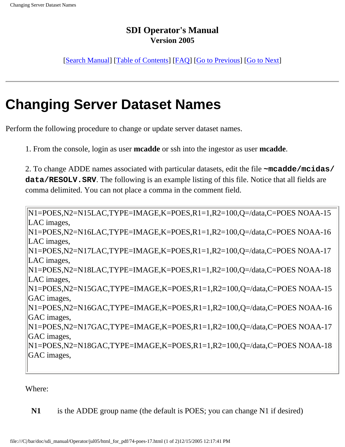[[Search Manual\]](file:///C|/bar/doc/sdi_manual/Operator/jul05/index.html) [\[Table of Contents\]](file:///C|/bar/doc/sdi_manual/Operator/jul05/html_for_pdf/index.html) [[FAQ\]](file:///C|/bar/doc/sdi_manual/Operator/jul05/html_for_pdf/appendixB.html) [[Go to Previous](file:///C|/bar/doc/sdi_manual/Operator/jul05/html_for_pdf/poes-16.html)] [[Go to Next](file:///C|/bar/doc/sdi_manual/Operator/jul05/html_for_pdf/poes-18.html)]

# **Changing Server Dataset Names**

Perform the following procedure to change or update server dataset names.

1. From the console, login as user **mcadde** or ssh into the ingestor as user **mcadde**.

2. To change ADDE names associated with particular datasets, edit the file **~mcadde/mcidas/ data/RESOLV.SRV**. The following is an example listing of this file. Notice that all fields are comma delimited. You can not place a comma in the comment field.

N1=POES,N2=N15LAC,TYPE=IMAGE,K=POES,R1=1,R2=100,Q=/data,C=POES NOAA-15 LAC images, N1=POES,N2=N16LAC,TYPE=IMAGE,K=POES,R1=1,R2=100,Q=/data,C=POES NOAA-16 LAC images, N1=POES,N2=N17LAC,TYPE=IMAGE,K=POES,R1=1,R2=100,Q=/data,C=POES NOAA-17 LAC images, N1=POES,N2=N18LAC,TYPE=IMAGE,K=POES,R1=1,R2=100,Q=/data,C=POES NOAA-18 LAC images, N1=POES,N2=N15GAC,TYPE=IMAGE,K=POES,R1=1,R2=100,Q=/data,C=POES NOAA-15 GAC images, N1=POES,N2=N16GAC,TYPE=IMAGE,K=POES,R1=1,R2=100,Q=/data,C=POES NOAA-16 GAC images, N1=POES,N2=N17GAC,TYPE=IMAGE,K=POES,R1=1,R2=100,Q=/data,C=POES NOAA-17 GAC images, N1=POES,N2=N18GAC,TYPE=IMAGE,K=POES,R1=1,R2=100,Q=/data,C=POES NOAA-18 GAC images,

Where:

**N1** is the ADDE group name (the default is POES; you can change N1 if desired)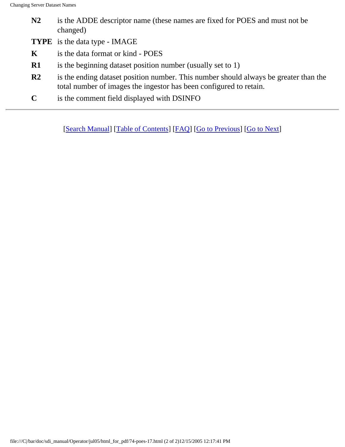- **N2** is the ADDE descriptor name (these names are fixed for POES and must not be changed)
- **TYPE** is the data type IMAGE
- **K** is the data format or kind POES
- **R1** is the beginning dataset position number (usually set to 1)
- **R2** is the ending dataset position number. This number should always be greater than the total number of images the ingestor has been configured to retain.
- **C** is the comment field displayed with DSINFO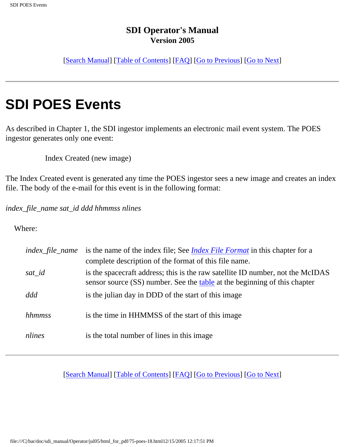[[Search Manual\]](file:///C|/bar/doc/sdi_manual/Operator/jul05/index.html) [\[Table of Contents\]](file:///C|/bar/doc/sdi_manual/Operator/jul05/html_for_pdf/index.html) [[FAQ\]](file:///C|/bar/doc/sdi_manual/Operator/jul05/html_for_pdf/appendixB.html) [[Go to Previous](file:///C|/bar/doc/sdi_manual/Operator/jul05/html_for_pdf/poes-17.html)] [[Go to Next](file:///C|/bar/doc/sdi_manual/Operator/jul05/html_for_pdf/poes-19.html)]

# **SDI POES Events**

As described in Chapter 1, the SDI ingestor implements an electronic mail event system. The POES ingestor generates only one event:

Index Created (new image)

The Index Created event is generated any time the POES ingestor sees a new image and creates an index file. The body of the e-mail for this event is in the following format:

*index\_file\_name sat\_id ddd hhmmss nlines*

#### Where:

| <i>index_file_name</i> | is the name of the index file; See <i>Index File Format</i> in this chapter for a<br>complete description of the format of this file name.                  |
|------------------------|-------------------------------------------------------------------------------------------------------------------------------------------------------------|
| sat_id                 | is the spacecraft address; this is the raw satellite ID number, not the McIDAS<br>sensor source (SS) number. See the table at the beginning of this chapter |
| ddd                    | is the julian day in DDD of the start of this image                                                                                                         |
| hhmmss                 | is the time in HHMMSS of the start of this image                                                                                                            |
| nlines                 | is the total number of lines in this image                                                                                                                  |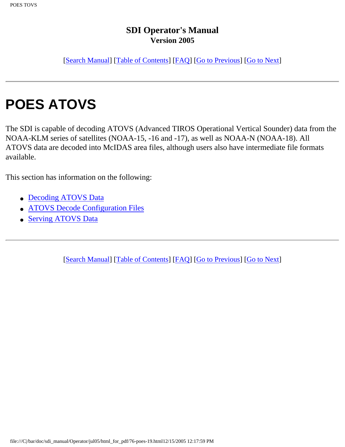[[Search Manual\]](file:///C|/bar/doc/sdi_manual/Operator/jul05/index.html) [\[Table of Contents\]](file:///C|/bar/doc/sdi_manual/Operator/jul05/html_for_pdf/index.html) [[FAQ\]](file:///C|/bar/doc/sdi_manual/Operator/jul05/html_for_pdf/appendixB.html) [[Go to Previous](file:///C|/bar/doc/sdi_manual/Operator/jul05/html_for_pdf/poes-18.html)] [[Go to Next](file:///C|/bar/doc/sdi_manual/Operator/jul05/html_for_pdf/poes-20.html)]

# **POES ATOVS**

The SDI is capable of decoding ATOVS (Advanced TIROS Operational Vertical Sounder) data from the NOAA-KLM series of satellites (NOAA-15, -16 and -17), as well as NOAA-N (NOAA-18). All ATOVS data are decoded into McIDAS area files, although users also have intermediate file formats available.

This section has information on the following:

- [Decoding ATOVS Data](file:///C|/bar/doc/sdi_manual/Operator/jul05/html_for_pdf/poes-20.html#46126)
- [ATOVS Decode Configuration Files](file:///C|/bar/doc/sdi_manual/Operator/jul05/html_for_pdf/poes-21.html#94383)
- [Serving ATOVS Data](file:///C|/bar/doc/sdi_manual/Operator/jul05/html_for_pdf/poes-22.html#56591)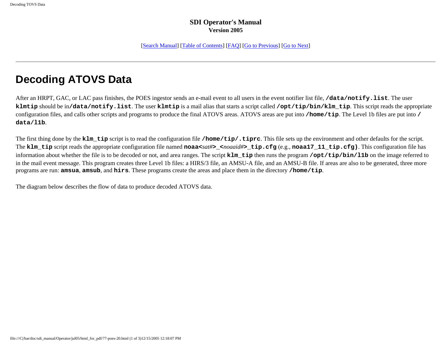[\[Search Manual\]](file:///C|/bar/doc/sdi_manual/Operator/jul05/index.html) [[Table of Contents](file:///C|/bar/doc/sdi_manual/Operator/jul05/html_for_pdf/index.html)] [[FAQ\]](file:///C|/bar/doc/sdi_manual/Operator/jul05/html_for_pdf/appendixB.html) [[Go to Previous\]](file:///C|/bar/doc/sdi_manual/Operator/jul05/html_for_pdf/poes-19.html) [[Go to Next](file:///C|/bar/doc/sdi_manual/Operator/jul05/html_for_pdf/poes-21.html)]

## **Decoding ATOVS Data**

After an HRPT, GAC, or LAC pass finishes, the POES ingestor sends an e-mail event to all users in the event notifier list file, **/data/notify.list**. The user **klmtip** should be in**/data/notify.list**. The user **klmtip** is a mail alias that starts a script called **/opt/tip/bin/klm\_tip**. This script reads the appropriate configuration files, and calls other scripts and programs to produce the final ATOVS areas. ATOVS areas are put into **/home/tip**. The Level 1b files are put into **/ data/l1b**.

The first thing done by the **klm\_tip** script is to read the configuration file **/home/tip/.tiprc**. This file sets up the environment and other defaults for the script. The **klm\_tip** script reads the appropriate configuration file named **noaa<***sat#***>\_<***noaaid#***>\_tip.cfg** (e.g., **noaa17\_11\_tip.cfg)**. This configuration file has information about whether the file is to be decoded or not, and area ranges. The script **klm\_tip** then runs the program **/opt/tip/bin/l1b** on the image referred to in the mail event message. This program creates three Level 1b files: a HIRS/3 file, an AMSU-A file, and an AMSU-B file. If areas are also to be generated, three more programs are run: **amsua**, **amsub**, and **hirs**. These programs create the areas and place them in the directory **/home/tip**.

The diagram below describes the flow of data to produce decoded ATOVS data.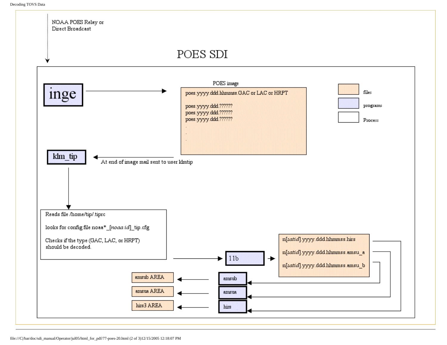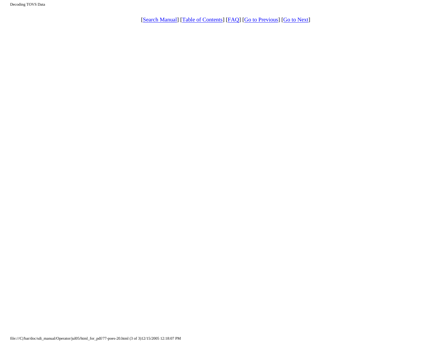Decoding TOVS Data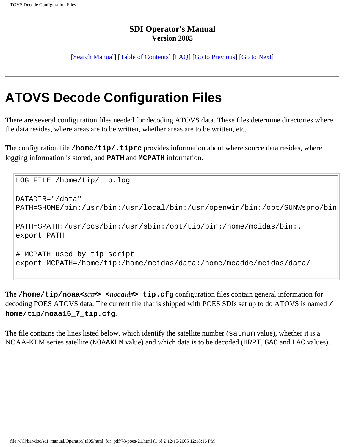[[Search Manual](file:///C|/bar/doc/sdi_manual/Operator/jul05/index.html)] [\[Table of Contents](file:///C|/bar/doc/sdi_manual/Operator/jul05/html_for_pdf/index.html)] [\[FAQ\]](file:///C|/bar/doc/sdi_manual/Operator/jul05/html_for_pdf/appendixB.html) [[Go to Previous\]](file:///C|/bar/doc/sdi_manual/Operator/jul05/html_for_pdf/poes-20.html) [[Go to Next](file:///C|/bar/doc/sdi_manual/Operator/jul05/html_for_pdf/poes-22.html)]

# **ATOVS Decode Configuration Files**

There are several configuration files needed for decoding ATOVS data. These files determine directories where the data resides, where areas are to be written, whether areas are to be written, etc.

The configuration file **/home/tip/.tiprc** provides information about where source data resides, where logging information is stored, and **PATH** and **MCPATH** information.

```
LOG_FILE=/home/tip/tip.log
DATADIR="/data"
PATH=$HOME/bin:/usr/bin:/usr/local/bin:/usr/openwin/bin:/opt/SUNWspro/bin
PATH=$PATH:/usr/ccs/bin:/usr/sbin:/opt/tip/bin:/home/mcidas/bin:.
export PATH
# MCPATH used by tip script
export MCPATH=/home/tip:/home/mcidas/data:/home/mcadde/mcidas/data/
```
The **/home/tip/noaa<***sat#***>\_<***noaaid#***>\_tip.cfg** configuration files contain general information for decoding POES ATOVS data. The current file that is shipped with POES SDIs set up to do ATOVS is named **/ home/tip/noaa15\_7\_tip.cfg**.

The file contains the lines listed below, which identify the satellite number (satnum value), whether it is a NOAA-KLM series satellite (NOAAKLM value) and which data is to be decoded (HRPT, GAC and LAC values).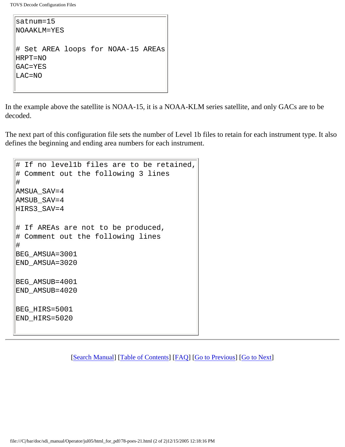TOVS Decode Configuration Files

```
satnum=15
NOAAKLM=YES
# Set AREA loops for NOAA-15 AREAs
HRPT=NO
GAC=YES
LAC=NO
```
In the example above the satellite is NOAA-15, it is a NOAA-KLM series satellite, and only GACs are to be decoded.

The next part of this configuration file sets the number of Level 1b files to retain for each instrument type. It also defines the beginning and ending area numbers for each instrument.

```
# If no level1b files are to be retained,
# Comment out the following 3 lines
#
AMSUA_SAV=4
AMSUB_SAV=4
HIRS3_SAV=4
# If AREAs are not to be produced,
# Comment out the following lines
#
BEG_AMSUA=3001
END_AMSUA=3020
BEG_AMSUB=4001
END_AMSUB=4020
BEG_HIRS=5001
END_HIRS=5020
```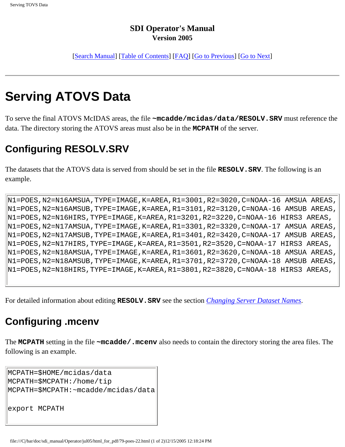[[Search Manual\]](file:///C|/bar/doc/sdi_manual/Operator/jul05/index.html) [[Table of Contents\]](file:///C|/bar/doc/sdi_manual/Operator/jul05/html_for_pdf/index.html) [\[FAQ](file:///C|/bar/doc/sdi_manual/Operator/jul05/html_for_pdf/appendixB.html)] [[Go to Previous\]](file:///C|/bar/doc/sdi_manual/Operator/jul05/html_for_pdf/poes-21.html) [[Go to Next](file:///C|/bar/doc/sdi_manual/Operator/jul05/html_for_pdf/meteosat-1.html)]

# **Serving ATOVS Data**

To serve the final ATOVS McIDAS areas, the file **~mcadde/mcidas/data/RESOLV.SRV** must reference the data. The directory storing the ATOVS areas must also be in the **MCPATH** of the server.

## **Configuring RESOLV.SRV**

The datasets that the ATOVS data is served from should be set in the file **RESOLV.SRV**. The following is an example.

N1=POES,N2=N16AMSUA,TYPE=IMAGE,K=AREA,R1=3001,R2=3020,C=NOAA-16 AMSUA AREAS, N1=POES,N2=N16AMSUB,TYPE=IMAGE,K=AREA,R1=3101,R2=3120,C=NOAA-16 AMSUB AREAS, N1=POES,N2=N16HIRS,TYPE=IMAGE,K=AREA,R1=3201,R2=3220,C=NOAA-16 HIRS3 AREAS, N1=POES,N2=N17AMSUA,TYPE=IMAGE,K=AREA,R1=3301,R2=3320,C=NOAA-17 AMSUA AREAS, N1=POES,N2=N17AMSUB,TYPE=IMAGE,K=AREA,R1=3401,R2=3420,C=NOAA-17 AMSUB AREAS, N1=POES,N2=N17HIRS,TYPE=IMAGE,K=AREA,R1=3501,R2=3520,C=NOAA-17 HIRS3 AREAS, N1=POES,N2=N18AMSUA,TYPE=IMAGE,K=AREA,R1=3601,R2=3620,C=NOAA-18 AMSUA AREAS, N1=POES,N2=N18AMSUB,TYPE=IMAGE,K=AREA,R1=3701,R2=3720,C=NOAA-18 AMSUB AREAS, N1=POES,N2=N18HIRS,TYPE=IMAGE,K=AREA,R1=3801,R2=3820,C=NOAA-18 HIRS3 AREAS,

For detailed information about editing **RESOLV.SRV** see the section *[Changing Server Dataset Names](file:///C|/bar/doc/sdi_manual/Operator/jul05/html_for_pdf/poes-17.html#31168)*.

## **Configuring .mcenv**

The **MCPATH** setting in the file **~mcadde/.mcenv** also needs to contain the directory storing the area files. The following is an example.

```
MCPATH=$HOME/mcidas/data
MCPATH=$MCPATH:/home/tip
MCPATH=$MCPATH:~mcadde/mcidas/data
export MCPATH
```